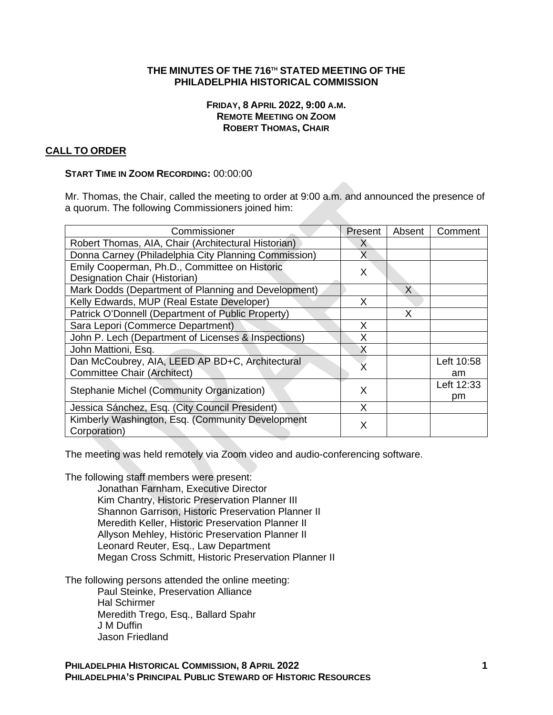## **THE MINUTES OF THE 716TH STATED MEETING OF THE PHILADELPHIA HISTORICAL COMMISSION**

### **FRIDAY, 8 APRIL 2022, 9:00 A.M. REMOTE MEETING ON ZOOM ROBERT THOMAS, CHAIR**

## **CALL TO ORDER**

### **START TIME IN ZOOM RECORDING:** 00:00:00

Mr. Thomas, the Chair, called the meeting to order at 9:00 a.m. and announced the presence of a quorum. The following Commissioners joined him:

| Commissioner                                         | Present | Absent | Comment    |
|------------------------------------------------------|---------|--------|------------|
| Robert Thomas, AIA, Chair (Architectural Historian)  | X       |        |            |
| Donna Carney (Philadelphia City Planning Commission) |         |        |            |
| Emily Cooperman, Ph.D., Committee on Historic        | X       |        |            |
| Designation Chair (Historian)                        |         |        |            |
| Mark Dodds (Department of Planning and Development)  |         | X      |            |
| Kelly Edwards, MUP (Real Estate Developer)           | X       |        |            |
| Patrick O'Donnell (Department of Public Property)    |         | X      |            |
| Sara Lepori (Commerce Department)                    | x       |        |            |
| John P. Lech (Department of Licenses & Inspections)  |         |        |            |
| John Mattioni, Esq.                                  |         |        |            |
| Dan McCoubrey, AIA, LEED AP BD+C, Architectural      |         |        | Left 10:58 |
| <b>Committee Chair (Architect)</b>                   |         |        | am         |
| Stephanie Michel (Community Organization)            | X       |        | Left 12:33 |
|                                                      |         |        | pm         |
| Jessica Sánchez, Esq. (City Council President)       | X       |        |            |
| Kimberly Washington, Esq. (Community Development     | X       |        |            |
| Corporation)                                         |         |        |            |

The meeting was held remotely via Zoom video and audio-conferencing software.

The following staff members were present:

Jonathan Farnham, Executive Director Kim Chantry, Historic Preservation Planner III Shannon Garrison, Historic Preservation Planner II Meredith Keller, Historic Preservation Planner II Allyson Mehley, Historic Preservation Planner II Leonard Reuter, Esq., Law Department Megan Cross Schmitt, Historic Preservation Planner II

The following persons attended the online meeting:

Paul Steinke, Preservation Alliance Hal Schirmer Meredith Trego, Esq., Ballard Spahr J M Duffin Jason Friedland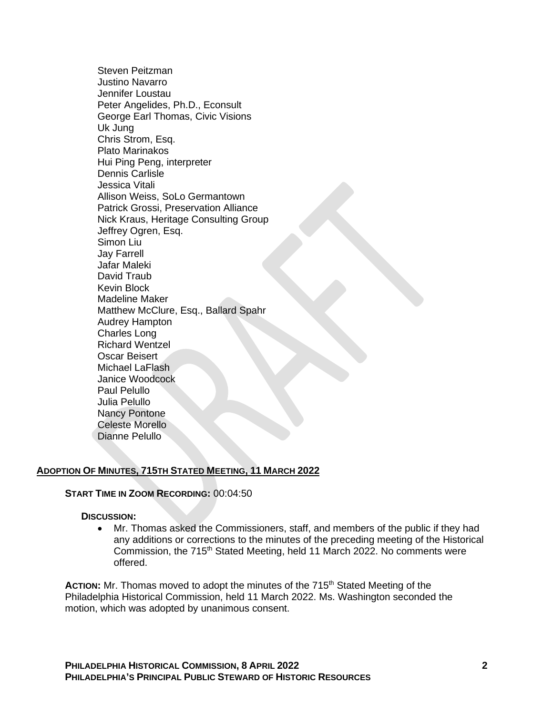Steven Peitzman Justino Navarro Jennifer Loustau Peter Angelides, Ph.D., Econsult George Earl Thomas, Civic Visions Uk Jung Chris Strom, Esq. Plato Marinakos Hui Ping Peng, interpreter Dennis Carlisle Jessica Vitali Allison Weiss, SoLo Germantown Patrick Grossi, Preservation Alliance Nick Kraus, Heritage Consulting Group Jeffrey Ogren, Esq. Simon Liu Jay Farrell Jafar Maleki David Traub Kevin Block Madeline Maker Matthew McClure, Esq., Ballard Spahr Audrey Hampton Charles Long Richard Wentzel Oscar Beisert Michael LaFlash Janice Woodcock Paul Pelullo Julia Pelullo Nancy Pontone Celeste Morello

### **ADOPTION OF MINUTES, 715TH STATED MEETING, 11 MARCH 2022**

### **START TIME IN ZOOM RECORDING:** 00:04:50

#### **DISCUSSION:**

Dianne Pelullo

• Mr. Thomas asked the Commissioners, staff, and members of the public if they had any additions or corrections to the minutes of the preceding meeting of the Historical Commission, the 715<sup>th</sup> Stated Meeting, held 11 March 2022. No comments were offered.

ACTION: Mr. Thomas moved to adopt the minutes of the 715<sup>th</sup> Stated Meeting of the Philadelphia Historical Commission, held 11 March 2022. Ms. Washington seconded the motion, which was adopted by unanimous consent.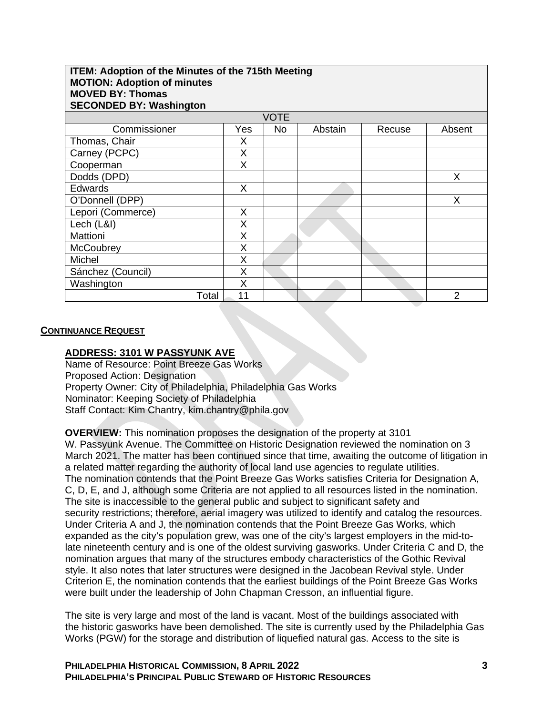| <b>ITEM: Adoption of the Minutes of the 715th Meeting</b><br><b>MOTION: Adoption of minutes</b><br><b>MOVED BY: Thomas</b><br><b>SECONDED BY: Washington</b> |     |             |         |        |        |  |
|--------------------------------------------------------------------------------------------------------------------------------------------------------------|-----|-------------|---------|--------|--------|--|
|                                                                                                                                                              |     | <b>VOTE</b> |         |        |        |  |
| Commissioner                                                                                                                                                 | Yes | <b>No</b>   | Abstain | Recuse | Absent |  |
| Thomas, Chair                                                                                                                                                | X   |             |         |        |        |  |
| Carney (PCPC)                                                                                                                                                | X   |             |         |        |        |  |
| Cooperman                                                                                                                                                    | X   |             |         |        |        |  |
| Dodds (DPD)                                                                                                                                                  |     |             |         |        | X      |  |
| <b>Edwards</b>                                                                                                                                               | X   |             |         |        |        |  |
| O'Donnell (DPP)                                                                                                                                              |     |             |         |        | X      |  |
| Lepori (Commerce)                                                                                                                                            | X   |             |         |        |        |  |
| Lech (L&I)                                                                                                                                                   | X   |             |         |        |        |  |
| Mattioni                                                                                                                                                     | X   |             |         |        |        |  |
| McCoubrey                                                                                                                                                    | X   |             |         |        |        |  |
| Michel                                                                                                                                                       | X   |             |         |        |        |  |
| Sánchez (Council)                                                                                                                                            | X   |             |         |        |        |  |
| Washington                                                                                                                                                   | X   |             |         |        |        |  |
| Total                                                                                                                                                        | 11  |             |         |        | 2      |  |

#### **CONTINUANCE REQUEST**

#### **ADDRESS: 3101 W PASSYUNK AVE**

Name of Resource: Point Breeze Gas Works Proposed Action: Designation Property Owner: City of Philadelphia, Philadelphia Gas Works Nominator: Keeping Society of Philadelphia Staff Contact: Kim Chantry, kim.chantry@phila.gov

**OVERVIEW:** This nomination proposes the designation of the property at 3101 W. Passyunk Avenue. The Committee on Historic Designation reviewed the nomination on 3 March 2021. The matter has been continued since that time, awaiting the outcome of litigation in a related matter regarding the authority of local land use agencies to regulate utilities. The nomination contends that the Point Breeze Gas Works satisfies Criteria for Designation A, C, D, E, and J, although some Criteria are not applied to all resources listed in the nomination. The site is inaccessible to the general public and subject to significant safety and security restrictions; therefore, aerial imagery was utilized to identify and catalog the resources. Under Criteria A and J, the nomination contends that the Point Breeze Gas Works, which expanded as the city's population grew, was one of the city's largest employers in the mid-tolate nineteenth century and is one of the oldest surviving gasworks. Under Criteria C and D, the nomination argues that many of the structures embody characteristics of the Gothic Revival style. It also notes that later structures were designed in the Jacobean Revival style. Under Criterion E, the nomination contends that the earliest buildings of the Point Breeze Gas Works were built under the leadership of John Chapman Cresson, an influential figure.

The site is very large and most of the land is vacant. Most of the buildings associated with the historic gasworks have been demolished. The site is currently used by the Philadelphia Gas Works (PGW) for the storage and distribution of liquefied natural gas. Access to the site is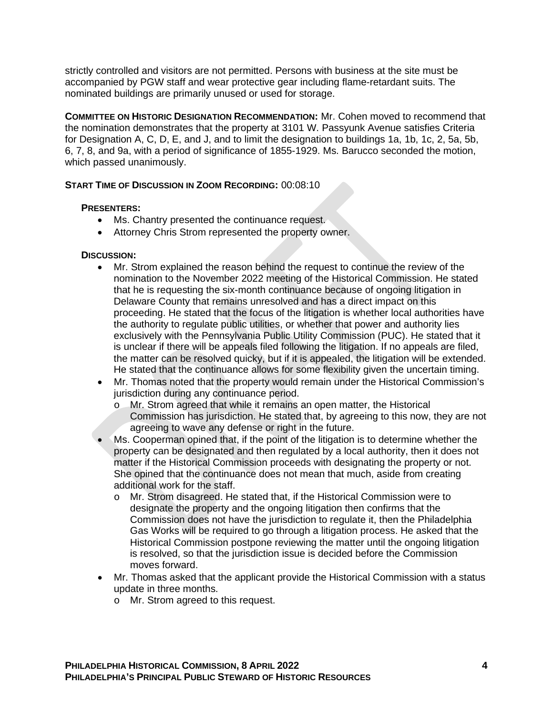strictly controlled and visitors are not permitted. Persons with business at the site must be accompanied by PGW staff and wear protective gear including flame-retardant suits. The nominated buildings are primarily unused or used for storage.

**COMMITTEE ON HISTORIC DESIGNATION RECOMMENDATION:** Mr. Cohen moved to recommend that the nomination demonstrates that the property at 3101 W. Passyunk Avenue satisfies Criteria for Designation A, C, D, E, and J, and to limit the designation to buildings 1a, 1b, 1c, 2, 5a, 5b, 6, 7, 8, and 9a, with a period of significance of 1855-1929. Ms. Barucco seconded the motion, which passed unanimously.

## **START TIME OF DISCUSSION IN ZOOM RECORDING:** 00:08:10

### **PRESENTERS:**

- Ms. Chantry presented the continuance request.
- Attorney Chris Strom represented the property owner.

### **DISCUSSION:**

- Mr. Strom explained the reason behind the request to continue the review of the nomination to the November 2022 meeting of the Historical Commission. He stated that he is requesting the six-month continuance because of ongoing litigation in Delaware County that remains unresolved and has a direct impact on this proceeding. He stated that the focus of the litigation is whether local authorities have the authority to regulate public utilities, or whether that power and authority lies exclusively with the Pennsylvania Public Utility Commission (PUC). He stated that it is unclear if there will be appeals filed following the litigation. If no appeals are filed, the matter can be resolved quicky, but if it is appealed, the litigation will be extended. He stated that the continuance allows for some flexibility given the uncertain timing.
- Mr. Thomas noted that the property would remain under the Historical Commission's jurisdiction during any continuance period.
	- o Mr. Strom agreed that while it remains an open matter, the Historical Commission has jurisdiction. He stated that, by agreeing to this now, they are not agreeing to wave any defense or right in the future.
- Ms. Cooperman opined that, if the point of the litigation is to determine whether the property can be designated and then regulated by a local authority, then it does not matter if the Historical Commission proceeds with designating the property or not. She opined that the continuance does not mean that much, aside from creating additional work for the staff.
	- o Mr. Strom disagreed. He stated that, if the Historical Commission were to designate the property and the ongoing litigation then confirms that the Commission does not have the jurisdiction to regulate it, then the Philadelphia Gas Works will be required to go through a litigation process. He asked that the Historical Commission postpone reviewing the matter until the ongoing litigation is resolved, so that the jurisdiction issue is decided before the Commission moves forward.
- Mr. Thomas asked that the applicant provide the Historical Commission with a status update in three months.
	- o Mr. Strom agreed to this request.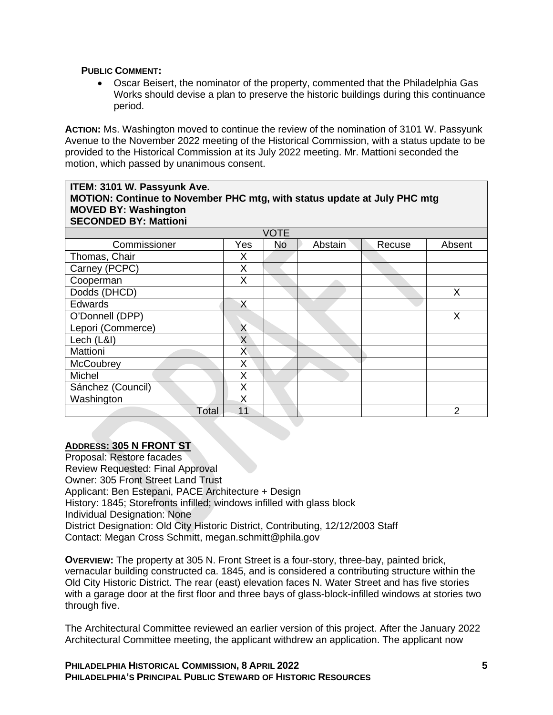### **PUBLIC COMMENT:**

• Oscar Beisert, the nominator of the property, commented that the Philadelphia Gas Works should devise a plan to preserve the historic buildings during this continuance period.

**ACTION:** Ms. Washington moved to continue the review of the nomination of 3101 W. Passyunk Avenue to the November 2022 meeting of the Historical Commission, with a status update to be provided to the Historical Commission at its July 2022 meeting. Mr. Mattioni seconded the motion, which passed by unanimous consent.

| ITEM: 3101 W. Passyunk Ave.<br>MOTION: Continue to November PHC mtg, with status update at July PHC mtg<br><b>MOVED BY: Washington</b><br><b>SECONDED BY: Mattioni</b> |     |             |         |        |        |  |
|------------------------------------------------------------------------------------------------------------------------------------------------------------------------|-----|-------------|---------|--------|--------|--|
|                                                                                                                                                                        |     | <b>VOTE</b> |         |        |        |  |
| Commissioner                                                                                                                                                           | Yes | No          | Abstain | Recuse | Absent |  |
| Thomas, Chair                                                                                                                                                          | X   |             |         |        |        |  |
| Carney (PCPC)                                                                                                                                                          | X   |             |         |        |        |  |
| Cooperman                                                                                                                                                              | X   |             |         |        |        |  |
| Dodds (DHCD)                                                                                                                                                           |     |             |         |        | Χ      |  |
| <b>Edwards</b>                                                                                                                                                         | X   |             |         |        |        |  |
| O'Donnell (DPP)                                                                                                                                                        |     |             |         |        | X      |  |
| Lepori (Commerce)                                                                                                                                                      | X   |             |         |        |        |  |
| Lech (L&I)                                                                                                                                                             | X   |             |         |        |        |  |
| Mattioni                                                                                                                                                               | X   |             |         |        |        |  |
| <b>McCoubrey</b>                                                                                                                                                       | X   |             |         |        |        |  |
| Michel                                                                                                                                                                 | Χ   |             |         |        |        |  |
| Sánchez (Council)                                                                                                                                                      | X   |             |         |        |        |  |
| Washington                                                                                                                                                             | X   |             |         |        |        |  |
| Total                                                                                                                                                                  | 11  |             |         |        | 2      |  |

## **ADDRESS: 305 N FRONT ST**

Proposal: Restore facades Review Requested: Final Approval Owner: 305 Front Street Land Trust Applicant: Ben Estepani, PACE Architecture + Design History: 1845; Storefronts infilled; windows infilled with glass block Individual Designation: None District Designation: Old City Historic District, Contributing, 12/12/2003 Staff Contact: Megan Cross Schmitt, megan.schmitt@phila.gov

**OVERVIEW:** The property at 305 N. Front Street is a four-story, three-bay, painted brick, vernacular building constructed ca. 1845, and is considered a contributing structure within the Old City Historic District. The rear (east) elevation faces N. Water Street and has five stories with a garage door at the first floor and three bays of glass-block-infilled windows at stories two through five.

The Architectural Committee reviewed an earlier version of this project. After the January 2022 Architectural Committee meeting, the applicant withdrew an application. The applicant now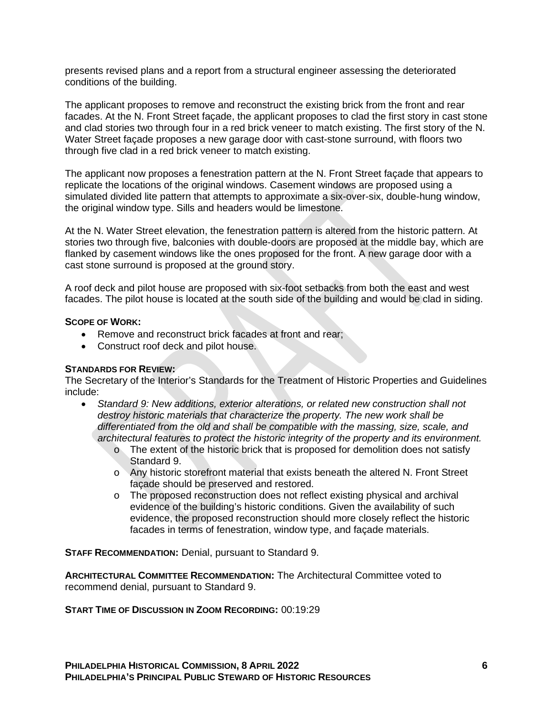presents revised plans and a report from a structural engineer assessing the deteriorated conditions of the building.

The applicant proposes to remove and reconstruct the existing brick from the front and rear facades. At the N. Front Street façade, the applicant proposes to clad the first story in cast stone and clad stories two through four in a red brick veneer to match existing. The first story of the N. Water Street façade proposes a new garage door with cast-stone surround, with floors two through five clad in a red brick veneer to match existing.

The applicant now proposes a fenestration pattern at the N. Front Street façade that appears to replicate the locations of the original windows. Casement windows are proposed using a simulated divided lite pattern that attempts to approximate a six-over-six, double-hung window, the original window type. Sills and headers would be limestone.

At the N. Water Street elevation, the fenestration pattern is altered from the historic pattern. At stories two through five, balconies with double-doors are proposed at the middle bay, which are flanked by casement windows like the ones proposed for the front. A new garage door with a cast stone surround is proposed at the ground story.

A roof deck and pilot house are proposed with six-foot setbacks from both the east and west facades. The pilot house is located at the south side of the building and would be clad in siding.

### **SCOPE OF WORK:**

- Remove and reconstruct brick facades at front and rear;
- Construct roof deck and pilot house.

### **STANDARDS FOR REVIEW:**

The Secretary of the Interior's Standards for the Treatment of Historic Properties and Guidelines include:

- *Standard 9: New additions, exterior alterations, or related new construction shall not destroy historic materials that characterize the property. The new work shall be differentiated from the old and shall be compatible with the massing, size, scale, and architectural features to protect the historic integrity of the property and its environment.*
	- o The extent of the historic brick that is proposed for demolition does not satisfy Standard 9.
	- o Any historic storefront material that exists beneath the altered N. Front Street façade should be preserved and restored.
	- o The proposed reconstruction does not reflect existing physical and archival evidence of the building's historic conditions. Given the availability of such evidence, the proposed reconstruction should more closely reflect the historic facades in terms of fenestration, window type, and façade materials.

**STAFF RECOMMENDATION:** Denial, pursuant to Standard 9.

**ARCHITECTURAL COMMITTEE RECOMMENDATION:** The Architectural Committee voted to recommend denial, pursuant to Standard 9.

### **START TIME OF DISCUSSION IN ZOOM RECORDING:** 00:19:29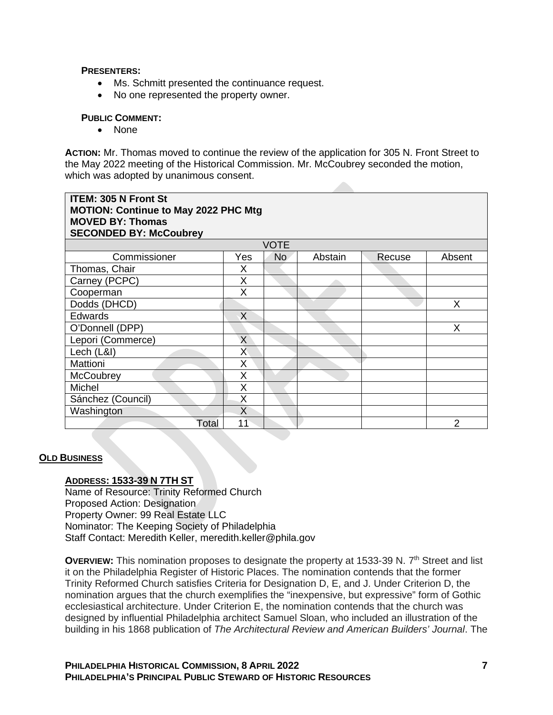### **PRESENTERS:**

- Ms. Schmitt presented the continuance request.
- No one represented the property owner.

### **PUBLIC COMMENT:**

• None

**ACTION:** Mr. Thomas moved to continue the review of the application for 305 N. Front Street to the May 2022 meeting of the Historical Commission. Mr. McCoubrey seconded the motion, which was adopted by unanimous consent.

| <b>ITEM: 305 N Front St</b><br><b>MOTION: Continue to May 2022 PHC Mtg</b><br><b>MOVED BY: Thomas</b><br><b>SECONDED BY: McCoubrey</b> |     |             |         |        |        |  |
|----------------------------------------------------------------------------------------------------------------------------------------|-----|-------------|---------|--------|--------|--|
|                                                                                                                                        |     | <b>VOTE</b> |         |        |        |  |
| Commissioner                                                                                                                           | Yes | No.         | Abstain | Recuse | Absent |  |
| Thomas, Chair                                                                                                                          | Χ   |             |         |        |        |  |
| Carney (PCPC)                                                                                                                          | X   |             |         |        |        |  |
| Cooperman                                                                                                                              | X   |             |         |        |        |  |
| Dodds (DHCD)                                                                                                                           |     |             |         |        | X      |  |
| <b>Edwards</b>                                                                                                                         | X   |             |         |        |        |  |
| O'Donnell (DPP)                                                                                                                        |     |             |         |        | X      |  |
| Lepori (Commerce)                                                                                                                      | X   |             |         |        |        |  |
| Lech (L&I)                                                                                                                             | Χ   |             |         |        |        |  |
| Mattioni                                                                                                                               | X   |             |         |        |        |  |
| McCoubrey                                                                                                                              | X   |             |         |        |        |  |
| Michel                                                                                                                                 | X   |             |         |        |        |  |
| Sánchez (Council)                                                                                                                      | Χ   |             |         |        |        |  |
| Washington                                                                                                                             | X   |             |         |        |        |  |
| Total                                                                                                                                  | 11  |             |         |        | 2      |  |

## **OLD BUSINESS**

## **ADDRESS: 1533-39 N 7TH ST**

Name of Resource: Trinity Reformed Church Proposed Action: Designation Property Owner: 99 Real Estate LLC Nominator: The Keeping Society of Philadelphia Staff Contact: Meredith Keller, meredith.keller@phila.gov

**OVERVIEW:** This nomination proposes to designate the property at 1533-39 N. 7<sup>th</sup> Street and list it on the Philadelphia Register of Historic Places. The nomination contends that the former Trinity Reformed Church satisfies Criteria for Designation D, E, and J. Under Criterion D, the nomination argues that the church exemplifies the "inexpensive, but expressive" form of Gothic ecclesiastical architecture. Under Criterion E, the nomination contends that the church was designed by influential Philadelphia architect Samuel Sloan, who included an illustration of the building in his 1868 publication of *The Architectural Review and American Builders' Journal*. The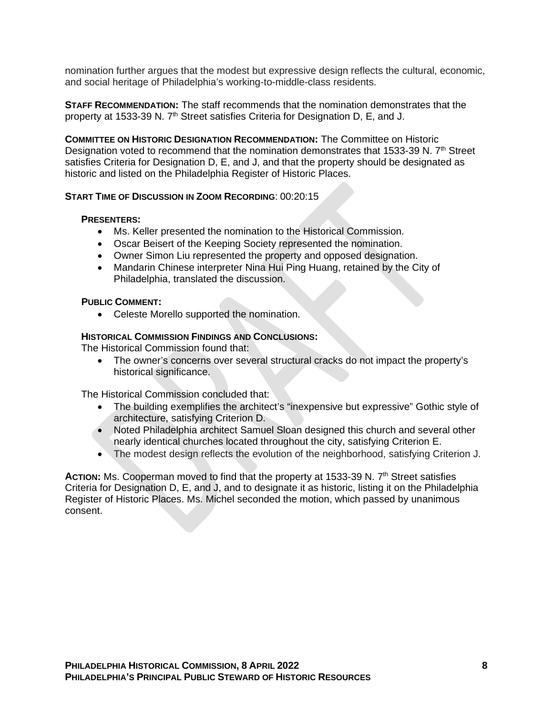nomination further argues that the modest but expressive design reflects the cultural, economic, and social heritage of Philadelphia's working-to-middle-class residents.

**STAFF RECOMMENDATION:** The staff recommends that the nomination demonstrates that the property at 1533-39 N. 7<sup>th</sup> Street satisfies Criteria for Designation D, E, and J.

**COMMITTEE ON HISTORIC DESIGNATION RECOMMENDATION:** The Committee on Historic Designation voted to recommend that the nomination demonstrates that 1533-39 N. 7<sup>th</sup> Street satisfies Criteria for Designation D, E, and J, and that the property should be designated as historic and listed on the Philadelphia Register of Historic Places.

## **START TIME OF DISCUSSION IN ZOOM RECORDING**: 00:20:15

### **PRESENTERS:**

- Ms. Keller presented the nomination to the Historical Commission.
- Oscar Beisert of the Keeping Society represented the nomination.
- Owner Simon Liu represented the property and opposed designation.
- Mandarin Chinese interpreter Nina Hui Ping Huang, retained by the City of Philadelphia, translated the discussion.

#### **PUBLIC COMMENT:**

• Celeste Morello supported the nomination.

### **HISTORICAL COMMISSION FINDINGS AND CONCLUSIONS:**

The Historical Commission found that:

• The owner's concerns over several structural cracks do not impact the property's historical significance.

The Historical Commission concluded that:

- The building exemplifies the architect's "inexpensive but expressive" Gothic style of architecture, satisfying Criterion D.
- Noted Philadelphia architect Samuel Sloan designed this church and several other nearly identical churches located throughout the city, satisfying Criterion E.
- The modest design reflects the evolution of the neighborhood, satisfying Criterion J.

ACTION: Ms. Cooperman moved to find that the property at 1533-39 N. 7<sup>th</sup> Street satisfies Criteria for Designation D, E, and J, and to designate it as historic, listing it on the Philadelphia Register of Historic Places. Ms. Michel seconded the motion, which passed by unanimous consent.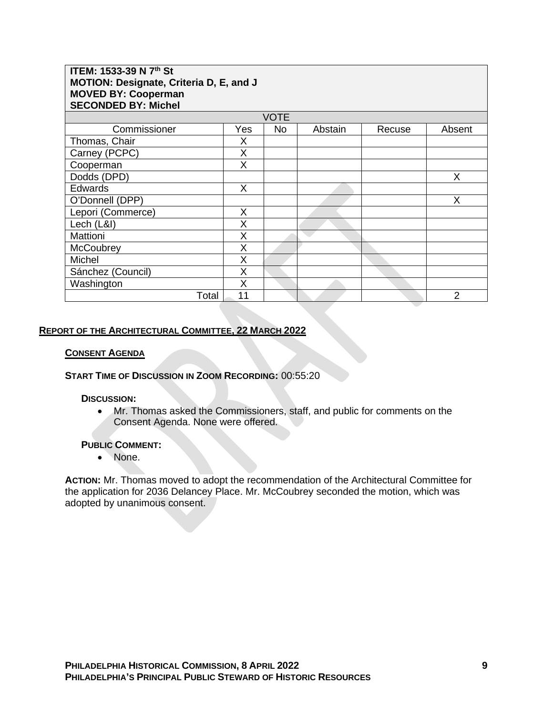| ITEM: 1533-39 N 7th St<br>MOTION: Designate, Criteria D, E, and J<br><b>MOVED BY: Cooperman</b><br><b>SECONDED BY: Michel</b> |     |             |         |        |                |  |
|-------------------------------------------------------------------------------------------------------------------------------|-----|-------------|---------|--------|----------------|--|
|                                                                                                                               |     | <b>VOTE</b> |         |        |                |  |
| Commissioner                                                                                                                  | Yes | No.         | Abstain | Recuse | Absent         |  |
| Thomas, Chair                                                                                                                 | X   |             |         |        |                |  |
| Carney (PCPC)                                                                                                                 | X   |             |         |        |                |  |
| Cooperman                                                                                                                     | X   |             |         |        |                |  |
| Dodds (DPD)                                                                                                                   |     |             |         |        | X              |  |
| <b>Edwards</b>                                                                                                                | X   |             |         |        |                |  |
| O'Donnell (DPP)                                                                                                               |     |             |         |        | Χ              |  |
| Lepori (Commerce)                                                                                                             | X   |             |         |        |                |  |
| Lech (L&I)                                                                                                                    | Χ   |             |         |        |                |  |
| Mattioni                                                                                                                      | X   |             |         |        |                |  |
| <b>McCoubrey</b>                                                                                                              | X   |             |         |        |                |  |
| Michel                                                                                                                        | X   |             |         |        |                |  |
| Sánchez (Council)                                                                                                             | X   |             |         |        |                |  |
| Washington                                                                                                                    | X   |             |         |        |                |  |
| Total                                                                                                                         | 11  |             |         |        | $\overline{2}$ |  |

## **REPORT OF THE ARCHITECTURAL COMMITTEE, 22 MARCH 2022**

#### **CONSENT AGENDA**

**START TIME OF DISCUSSION IN ZOOM RECORDING:** 00:55:20

#### **DISCUSSION:**

• Mr. Thomas asked the Commissioners, staff, and public for comments on the Consent Agenda. None were offered.

#### **PUBLIC COMMENT:**

• None.

**ACTION:** Mr. Thomas moved to adopt the recommendation of the Architectural Committee for the application for 2036 Delancey Place. Mr. McCoubrey seconded the motion, which was adopted by unanimous consent.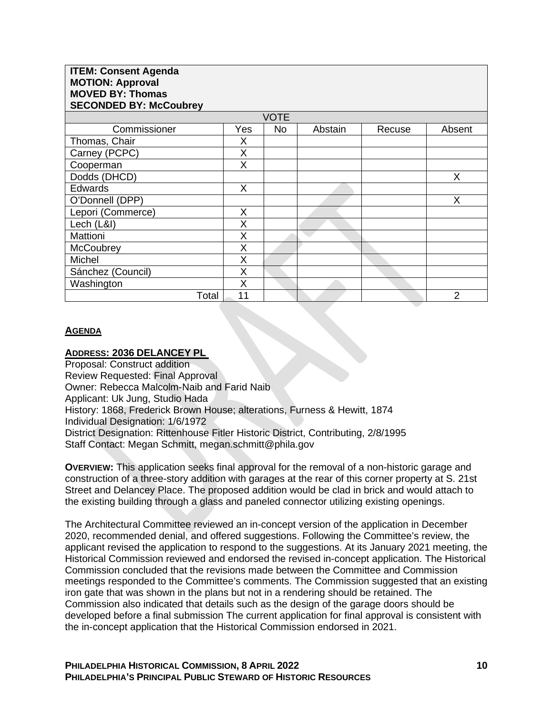| <b>ITEM: Consent Agenda</b><br><b>MOTION: Approval</b><br><b>MOVED BY: Thomas</b><br><b>SECONDED BY: McCoubrey</b> |     |             |         |        |                |
|--------------------------------------------------------------------------------------------------------------------|-----|-------------|---------|--------|----------------|
|                                                                                                                    |     | <b>VOTE</b> |         |        |                |
| Commissioner                                                                                                       | Yes | <b>No</b>   | Abstain | Recuse | Absent         |
| Thomas, Chair                                                                                                      | Χ   |             |         |        |                |
| Carney (PCPC)                                                                                                      | X   |             |         |        |                |
| Cooperman                                                                                                          | X   |             |         |        |                |
| Dodds (DHCD)                                                                                                       |     |             |         |        | X              |
| <b>Edwards</b>                                                                                                     | X   |             |         |        |                |
| O'Donnell (DPP)                                                                                                    |     |             |         |        | X              |
| Lepori (Commerce)                                                                                                  | X   |             |         |        |                |
| Lech (L&I)                                                                                                         | Χ   |             |         |        |                |
| Mattioni                                                                                                           | X   |             |         |        |                |
| McCoubrey                                                                                                          | Χ   |             |         |        |                |
| <b>Michel</b>                                                                                                      | Χ   |             |         |        |                |
| Sánchez (Council)                                                                                                  | X   |             |         |        |                |
| Washington                                                                                                         | X   |             |         |        |                |
| Total                                                                                                              | 11  |             |         |        | $\overline{2}$ |

### **AGENDA**

### **ADDRESS: 2036 DELANCEY PL**

Proposal: Construct addition Review Requested: Final Approval Owner: Rebecca Malcolm-Naib and Farid Naib Applicant: Uk Jung, Studio Hada History: 1868, Frederick Brown House; alterations, Furness & Hewitt, 1874 Individual Designation: 1/6/1972 District Designation: Rittenhouse Fitler Historic District, Contributing, 2/8/1995 Staff Contact: Megan Schmitt, megan.schmitt@phila.gov

**OVERVIEW:** This application seeks final approval for the removal of a non-historic garage and construction of a three-story addition with garages at the rear of this corner property at S. 21st Street and Delancey Place. The proposed addition would be clad in brick and would attach to the existing building through a glass and paneled connector utilizing existing openings.

The Architectural Committee reviewed an in-concept version of the application in December 2020, recommended denial, and offered suggestions. Following the Committee's review, the applicant revised the application to respond to the suggestions. At its January 2021 meeting, the Historical Commission reviewed and endorsed the revised in-concept application. The Historical Commission concluded that the revisions made between the Committee and Commission meetings responded to the Committee's comments. The Commission suggested that an existing iron gate that was shown in the plans but not in a rendering should be retained. The Commission also indicated that details such as the design of the garage doors should be developed before a final submission The current application for final approval is consistent with the in-concept application that the Historical Commission endorsed in 2021.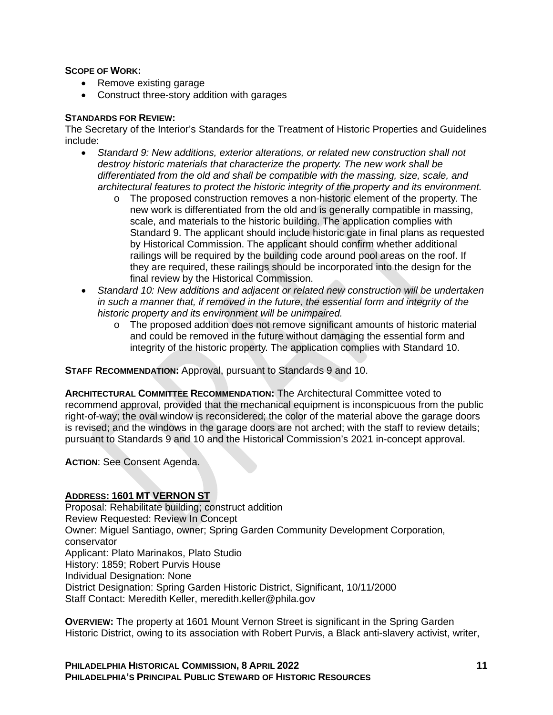### **SCOPE OF WORK:**

- Remove existing garage
- Construct three-story addition with garages

### **STANDARDS FOR REVIEW:**

The Secretary of the Interior's Standards for the Treatment of Historic Properties and Guidelines include:

- *Standard 9: New additions, exterior alterations, or related new construction shall not destroy historic materials that characterize the property. The new work shall be differentiated from the old and shall be compatible with the massing, size, scale, and architectural features to protect the historic integrity of the property and its environment.*
	- o The proposed construction removes a non-historic element of the property. The new work is differentiated from the old and is generally compatible in massing, scale, and materials to the historic building. The application complies with Standard 9. The applicant should include historic gate in final plans as requested by Historical Commission. The applicant should confirm whether additional railings will be required by the building code around pool areas on the roof. If they are required, these railings should be incorporated into the design for the final review by the Historical Commission.
- *Standard 10: New additions and adjacent or related new construction will be undertaken in such a manner that, if removed in the future, the essential form and integrity of the historic property and its environment will be unimpaired.*
	- o The proposed addition does not remove significant amounts of historic material and could be removed in the future without damaging the essential form and integrity of the historic property. The application complies with Standard 10.

**STAFF RECOMMENDATION:** Approval, pursuant to Standards 9 and 10.

**ARCHITECTURAL COMMITTEE RECOMMENDATION:** The Architectural Committee voted to recommend approval, provided that the mechanical equipment is inconspicuous from the public right-of-way; the oval window is reconsidered; the color of the material above the garage doors is revised; and the windows in the garage doors are not arched; with the staff to review details; pursuant to Standards 9 and 10 and the Historical Commission's 2021 in-concept approval.

**ACTION**: See Consent Agenda.

## **ADDRESS: 1601 MT VERNON ST**

Proposal: Rehabilitate building; construct addition Review Requested: Review In Concept Owner: Miguel Santiago, owner; Spring Garden Community Development Corporation, conservator Applicant: Plato Marinakos, Plato Studio History: 1859; Robert Purvis House Individual Designation: None District Designation: Spring Garden Historic District, Significant, 10/11/2000 Staff Contact: Meredith Keller, meredith.keller@phila.gov

**OVERVIEW:** The property at 1601 Mount Vernon Street is significant in the Spring Garden Historic District, owing to its association with Robert Purvis, a Black anti-slavery activist, writer,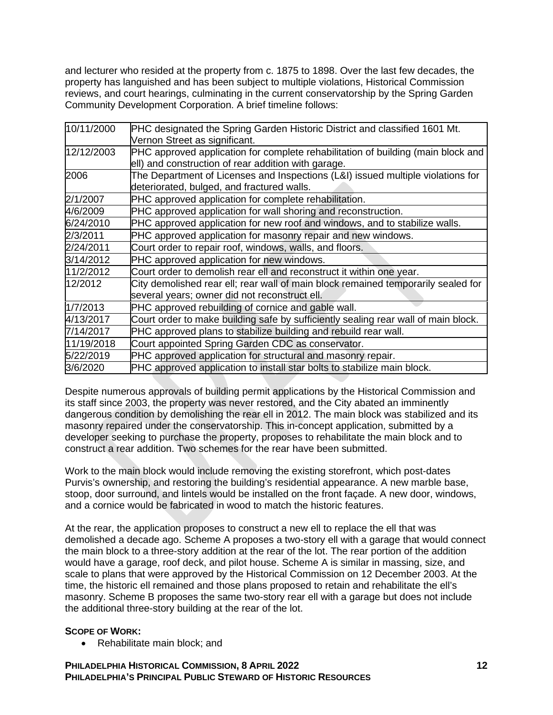and lecturer who resided at the property from c. 1875 to 1898. Over the last few decades, the property has languished and has been subject to multiple violations, Historical Commission reviews, and court hearings, culminating in the current conservatorship by the Spring Garden Community Development Corporation. A brief timeline follows:

| 10/11/2000 | PHC designated the Spring Garden Historic District and classified 1601 Mt.<br>Vernon Street as significant.                             |
|------------|-----------------------------------------------------------------------------------------------------------------------------------------|
| 12/12/2003 | PHC approved application for complete rehabilitation of building (main block and<br>ell) and construction of rear addition with garage. |
| 2006       | The Department of Licenses and Inspections (L&I) issued multiple violations for<br>deteriorated, bulged, and fractured walls.           |
| 2/1/2007   | PHC approved application for complete rehabilitation.                                                                                   |
| 4/6/2009   | PHC approved application for wall shoring and reconstruction.                                                                           |
| 6/24/2010  | PHC approved application for new roof and windows, and to stabilize walls.                                                              |
| 2/3/2011   | PHC approved application for masonry repair and new windows.                                                                            |
| 2/24/2011  | Court order to repair roof, windows, walls, and floors.                                                                                 |
| 3/14/2012  | PHC approved application for new windows.                                                                                               |
| 11/2/2012  | Court order to demolish rear ell and reconstruct it within one year.                                                                    |
| 12/2012    | City demolished rear ell; rear wall of main block remained temporarily sealed for<br>several years; owner did not reconstruct ell.      |
| 1/7/2013   | PHC approved rebuilding of cornice and gable wall.                                                                                      |
| 4/13/2017  | Court order to make building safe by sufficiently sealing rear wall of main block.                                                      |
| 7/14/2017  | PHC approved plans to stabilize building and rebuild rear wall.                                                                         |
| 11/19/2018 | Court appointed Spring Garden CDC as conservator.                                                                                       |
| 5/22/2019  | PHC approved application for structural and masonry repair.                                                                             |
| 3/6/2020   | PHC approved application to install star bolts to stabilize main block.                                                                 |

Despite numerous approvals of building permit applications by the Historical Commission and its staff since 2003, the property was never restored, and the City abated an imminently dangerous condition by demolishing the rear ell in 2012. The main block was stabilized and its masonry repaired under the conservatorship. This in-concept application, submitted by a developer seeking to purchase the property, proposes to rehabilitate the main block and to construct a rear addition. Two schemes for the rear have been submitted.

Work to the main block would include removing the existing storefront, which post-dates Purvis's ownership, and restoring the building's residential appearance. A new marble base, stoop, door surround, and lintels would be installed on the front façade. A new door, windows, and a cornice would be fabricated in wood to match the historic features.

At the rear, the application proposes to construct a new ell to replace the ell that was demolished a decade ago. Scheme A proposes a two-story ell with a garage that would connect the main block to a three-story addition at the rear of the lot. The rear portion of the addition would have a garage, roof deck, and pilot house. Scheme A is similar in massing, size, and scale to plans that were approved by the Historical Commission on 12 December 2003. At the time, the historic ell remained and those plans proposed to retain and rehabilitate the ell's masonry. Scheme B proposes the same two-story rear ell with a garage but does not include the additional three-story building at the rear of the lot.

## **SCOPE OF WORK:**

• Rehabilitate main block; and

**PHILADELPHIA HISTORICAL COMMISSION, 8 APRIL 2022 PHILADELPHIA'S PRINCIPAL PUBLIC STEWARD OF HISTORIC RESOURCES**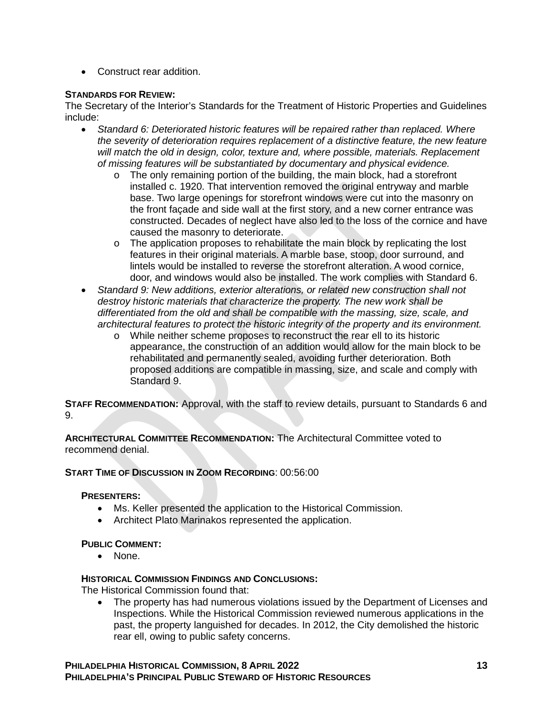• Construct rear addition.

## **STANDARDS FOR REVIEW:**

The Secretary of the Interior's Standards for the Treatment of Historic Properties and Guidelines include:

- *Standard 6: Deteriorated historic features will be repaired rather than replaced. Where the severity of deterioration requires replacement of a distinctive feature, the new feature will match the old in design, color, texture and, where possible, materials. Replacement of missing features will be substantiated by documentary and physical evidence.*
	- $\circ$  The only remaining portion of the building, the main block, had a storefront installed c. 1920. That intervention removed the original entryway and marble base. Two large openings for storefront windows were cut into the masonry on the front façade and side wall at the first story, and a new corner entrance was constructed. Decades of neglect have also led to the loss of the cornice and have caused the masonry to deteriorate.
	- $\circ$  The application proposes to rehabilitate the main block by replicating the lost features in their original materials. A marble base, stoop, door surround, and lintels would be installed to reverse the storefront alteration. A wood cornice, door, and windows would also be installed. The work complies with Standard 6.
- *Standard 9: New additions, exterior alterations, or related new construction shall not destroy historic materials that characterize the property. The new work shall be differentiated from the old and shall be compatible with the massing, size, scale, and architectural features to protect the historic integrity of the property and its environment.*
	- o While neither scheme proposes to reconstruct the rear ell to its historic appearance, the construction of an addition would allow for the main block to be rehabilitated and permanently sealed, avoiding further deterioration. Both proposed additions are compatible in massing, size, and scale and comply with Standard 9.

**STAFF RECOMMENDATION:** Approval, with the staff to review details, pursuant to Standards 6 and 9.

**ARCHITECTURAL COMMITTEE RECOMMENDATION:** The Architectural Committee voted to recommend denial.

**START TIME OF DISCUSSION IN ZOOM RECORDING**: 00:56:00

## **PRESENTERS:**

- Ms. Keller presented the application to the Historical Commission.
- Architect Plato Marinakos represented the application.

## **PUBLIC COMMENT:**

• None.

## **HISTORICAL COMMISSION FINDINGS AND CONCLUSIONS:**

The Historical Commission found that:

• The property has had numerous violations issued by the Department of Licenses and Inspections. While the Historical Commission reviewed numerous applications in the past, the property languished for decades. In 2012, the City demolished the historic rear ell, owing to public safety concerns.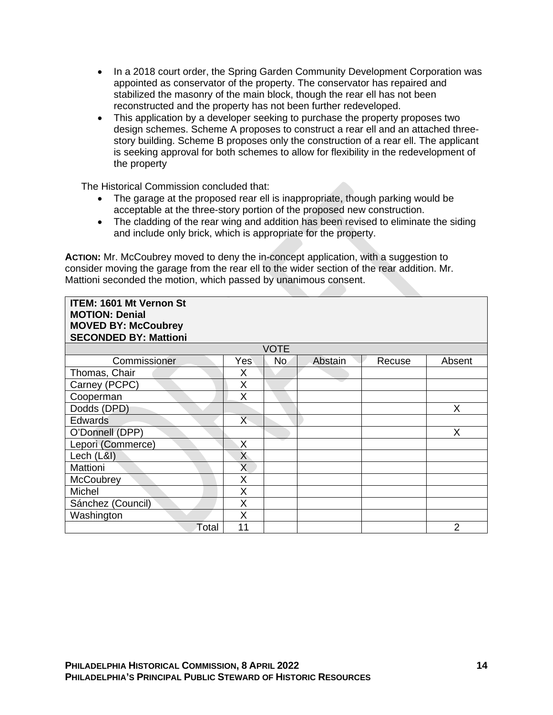- In a 2018 court order, the Spring Garden Community Development Corporation was appointed as conservator of the property. The conservator has repaired and stabilized the masonry of the main block, though the rear ell has not been reconstructed and the property has not been further redeveloped.
- This application by a developer seeking to purchase the property proposes two design schemes. Scheme A proposes to construct a rear ell and an attached threestory building. Scheme B proposes only the construction of a rear ell. The applicant is seeking approval for both schemes to allow for flexibility in the redevelopment of the property

The Historical Commission concluded that:

- The garage at the proposed rear ell is inappropriate, though parking would be acceptable at the three-story portion of the proposed new construction.
- The cladding of the rear wing and addition has been revised to eliminate the siding and include only brick, which is appropriate for the property.

**ACTION:** Mr. McCoubrey moved to deny the in-concept application, with a suggestion to consider moving the garage from the rear ell to the wider section of the rear addition. Mr. Mattioni seconded the motion, which passed by unanimous consent.

| <b>ITEM: 1601 Mt Vernon St</b><br><b>MOTION: Denial</b><br><b>MOVED BY: McCoubrey</b><br><b>SECONDED BY: Mattioni</b> |              |             |         |        |        |
|-----------------------------------------------------------------------------------------------------------------------|--------------|-------------|---------|--------|--------|
|                                                                                                                       |              | <b>VOTE</b> |         |        |        |
| Commissioner                                                                                                          | Yes          | No.         | Abstain | Recuse | Absent |
| Thomas, Chair                                                                                                         | Χ            |             |         |        |        |
| Carney (PCPC)                                                                                                         | X            |             |         |        |        |
| Cooperman                                                                                                             | X            |             |         |        |        |
| Dodds (DPD)                                                                                                           |              |             |         |        | X      |
| <b>Edwards</b>                                                                                                        | X            |             |         |        |        |
| O'Donnell (DPP)                                                                                                       |              |             |         |        | X      |
| Lepori (Commerce)                                                                                                     | X            |             |         |        |        |
| Lech (L&I)                                                                                                            | $\mathsf{X}$ |             |         |        |        |
| Mattioni                                                                                                              | X            |             |         |        |        |
| McCoubrey                                                                                                             | X            |             |         |        |        |
| Michel                                                                                                                | X            |             |         |        |        |
| Sánchez (Council)                                                                                                     | X            |             |         |        |        |
| Washington                                                                                                            | X            |             |         |        |        |
| Total                                                                                                                 | 11           |             |         |        | 2      |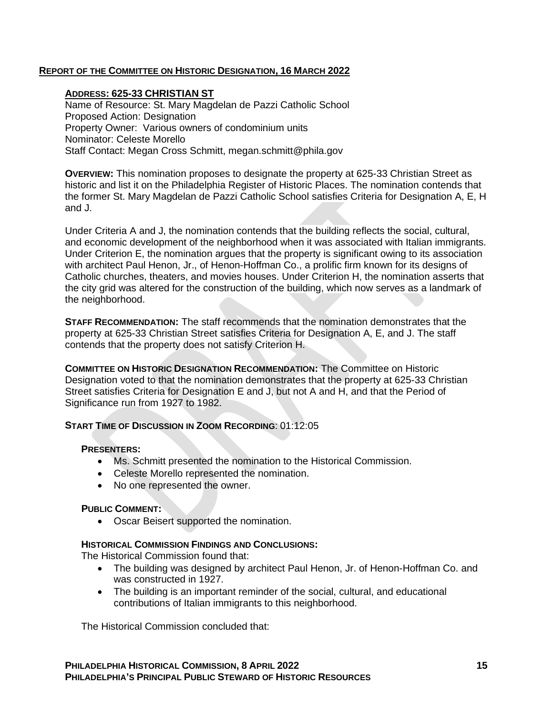## **REPORT OF THE COMMITTEE ON HISTORIC DESIGNATION, 16 MARCH 2022**

### **ADDRESS: 625-33 CHRISTIAN ST**

Name of Resource: St. Mary Magdelan de Pazzi Catholic School Proposed Action: Designation Property Owner: Various owners of condominium units Nominator: Celeste Morello Staff Contact: Megan Cross Schmitt, megan.schmitt@phila.gov

**OVERVIEW:** This nomination proposes to designate the property at 625-33 Christian Street as historic and list it on the Philadelphia Register of Historic Places. The nomination contends that the former St. Mary Magdelan de Pazzi Catholic School satisfies Criteria for Designation A, E, H and J.

Under Criteria A and J, the nomination contends that the building reflects the social, cultural, and economic development of the neighborhood when it was associated with Italian immigrants. Under Criterion E, the nomination argues that the property is significant owing to its association with architect Paul Henon, Jr., of Henon-Hoffman Co., a prolific firm known for its designs of Catholic churches, theaters, and movies houses. Under Criterion H, the nomination asserts that the city grid was altered for the construction of the building, which now serves as a landmark of the neighborhood.

**STAFF RECOMMENDATION:** The staff recommends that the nomination demonstrates that the property at 625-33 Christian Street satisfies Criteria for Designation A, E, and J. The staff contends that the property does not satisfy Criterion H.

**COMMITTEE ON HISTORIC DESIGNATION RECOMMENDATION:** The Committee on Historic Designation voted to that the nomination demonstrates that the property at 625-33 Christian Street satisfies Criteria for Designation E and J, but not A and H, and that the Period of Significance run from 1927 to 1982.

### **START TIME OF DISCUSSION IN ZOOM RECORDING**: 01:12:05

### **PRESENTERS:**

- Ms. Schmitt presented the nomination to the Historical Commission.
- Celeste Morello represented the nomination.
- No one represented the owner.

### **PUBLIC COMMENT:**

• Oscar Beisert supported the nomination.

### **HISTORICAL COMMISSION FINDINGS AND CONCLUSIONS:**

The Historical Commission found that:

- The building was designed by architect Paul Henon, Jr. of Henon-Hoffman Co. and was constructed in 1927.
- The building is an important reminder of the social, cultural, and educational contributions of Italian immigrants to this neighborhood.

The Historical Commission concluded that: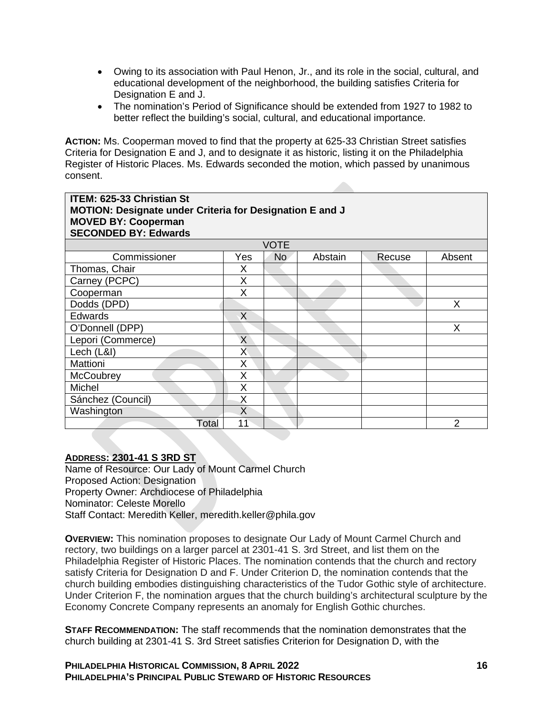- Owing to its association with Paul Henon, Jr., and its role in the social, cultural, and educational development of the neighborhood, the building satisfies Criteria for Designation E and J.
- The nomination's Period of Significance should be extended from 1927 to 1982 to better reflect the building's social, cultural, and educational importance.

**ACTION:** Ms. Cooperman moved to find that the property at 625-33 Christian Street satisfies Criteria for Designation E and J, and to designate it as historic, listing it on the Philadelphia Register of Historic Places. Ms. Edwards seconded the motion, which passed by unanimous consent.

| <b>ITEM: 625-33 Christian St</b><br>MOTION: Designate under Criteria for Designation E and J<br><b>MOVED BY: Cooperman</b><br><b>SECONDED BY: Edwards</b> |                         |                |         |        |                |  |
|-----------------------------------------------------------------------------------------------------------------------------------------------------------|-------------------------|----------------|---------|--------|----------------|--|
|                                                                                                                                                           |                         | <b>VOTE</b>    |         |        |                |  |
| Commissioner                                                                                                                                              | Yes                     | N <sub>o</sub> | Abstain | Recuse | Absent         |  |
| Thomas, Chair                                                                                                                                             | X                       |                |         |        |                |  |
| Carney (PCPC)                                                                                                                                             | X                       |                |         |        |                |  |
| Cooperman                                                                                                                                                 | X                       |                |         |        |                |  |
| Dodds (DPD)                                                                                                                                               |                         |                |         |        | X              |  |
| <b>Edwards</b>                                                                                                                                            | X                       |                |         |        |                |  |
| O'Donnell (DPP)                                                                                                                                           |                         |                |         |        | X              |  |
| Lepori (Commerce)                                                                                                                                         | X                       |                |         |        |                |  |
| Lech (L&I)                                                                                                                                                | $\overline{\mathsf{X}}$ |                |         |        |                |  |
| Mattioni                                                                                                                                                  | X                       |                |         |        |                |  |
| <b>McCoubrey</b>                                                                                                                                          | Χ                       |                |         |        |                |  |
| Michel                                                                                                                                                    | X                       |                |         |        |                |  |
| Sánchez (Council)                                                                                                                                         | X                       |                |         |        |                |  |
| Washington                                                                                                                                                | X                       |                |         |        |                |  |
| Total                                                                                                                                                     | 11                      |                |         |        | $\mathfrak{p}$ |  |

### **ADDRESS: 2301-41 S 3RD ST**

Name of Resource: Our Lady of Mount Carmel Church Proposed Action: Designation Property Owner: Archdiocese of Philadelphia Nominator: Celeste Morello Staff Contact: Meredith Keller, meredith.keller@phila.gov

**OVERVIEW:** This nomination proposes to designate Our Lady of Mount Carmel Church and rectory, two buildings on a larger parcel at 2301-41 S. 3rd Street, and list them on the Philadelphia Register of Historic Places. The nomination contends that the church and rectory satisfy Criteria for Designation D and F. Under Criterion D, the nomination contends that the church building embodies distinguishing characteristics of the Tudor Gothic style of architecture. Under Criterion F, the nomination argues that the church building's architectural sculpture by the Economy Concrete Company represents an anomaly for English Gothic churches.

**STAFF RECOMMENDATION:** The staff recommends that the nomination demonstrates that the church building at 2301-41 S. 3rd Street satisfies Criterion for Designation D, with the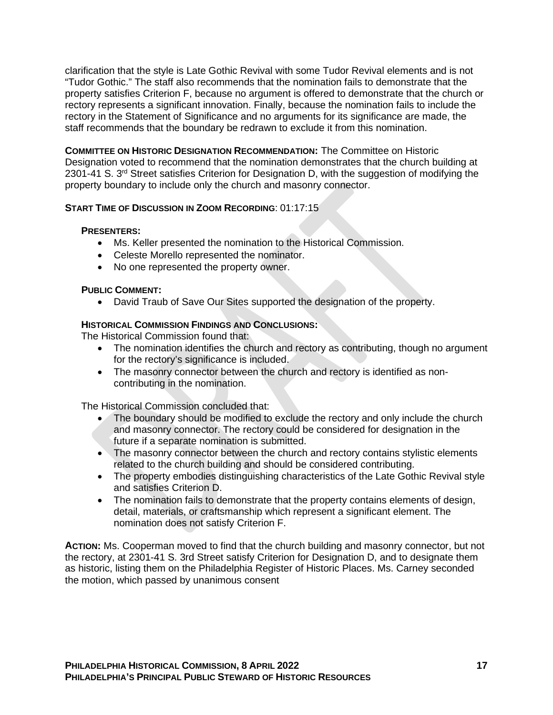clarification that the style is Late Gothic Revival with some Tudor Revival elements and is not "Tudor Gothic." The staff also recommends that the nomination fails to demonstrate that the property satisfies Criterion F, because no argument is offered to demonstrate that the church or rectory represents a significant innovation. Finally, because the nomination fails to include the rectory in the Statement of Significance and no arguments for its significance are made, the staff recommends that the boundary be redrawn to exclude it from this nomination.

**COMMITTEE ON HISTORIC DESIGNATION RECOMMENDATION:** The Committee on Historic Designation voted to recommend that the nomination demonstrates that the church building at 2301-41 S. 3<sup>rd</sup> Street satisfies Criterion for Designation D, with the suggestion of modifying the property boundary to include only the church and masonry connector.

## **START TIME OF DISCUSSION IN ZOOM RECORDING**: 01:17:15

### **PRESENTERS:**

- Ms. Keller presented the nomination to the Historical Commission.
- Celeste Morello represented the nominator.
- No one represented the property owner.

### **PUBLIC COMMENT:**

• David Traub of Save Our Sites supported the designation of the property.

### **HISTORICAL COMMISSION FINDINGS AND CONCLUSIONS:**

The Historical Commission found that:

- The nomination identifies the church and rectory as contributing, though no argument for the rectory's significance is included.
- The masonry connector between the church and rectory is identified as noncontributing in the nomination.

The Historical Commission concluded that:

- The boundary should be modified to exclude the rectory and only include the church and masonry connector. The rectory could be considered for designation in the future if a separate nomination is submitted.
- The masonry connector between the church and rectory contains stylistic elements related to the church building and should be considered contributing.
- The property embodies distinguishing characteristics of the Late Gothic Revival style and satisfies Criterion D.
- The nomination fails to demonstrate that the property contains elements of design, detail, materials, or craftsmanship which represent a significant element. The nomination does not satisfy Criterion F.

**ACTION:** Ms. Cooperman moved to find that the church building and masonry connector, but not the rectory, at 2301-41 S. 3rd Street satisfy Criterion for Designation D, and to designate them as historic, listing them on the Philadelphia Register of Historic Places. Ms. Carney seconded the motion, which passed by unanimous consent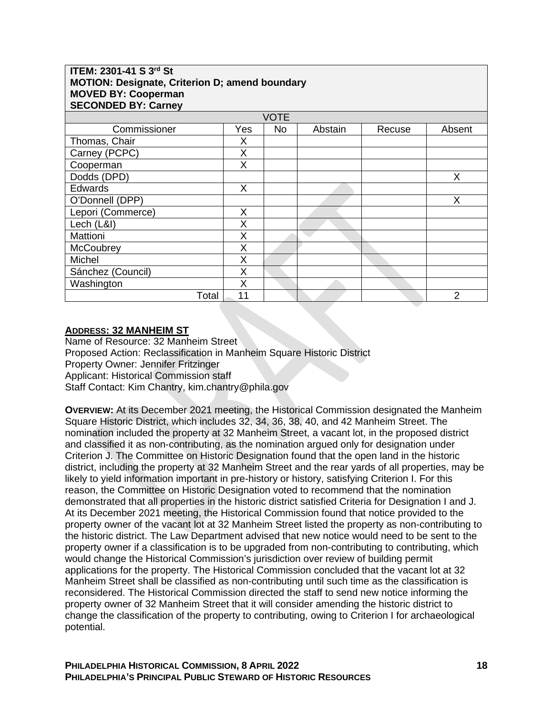## **ITEM: 2301-41 S 3rd St MOTION: Designate, Criterion D; amend boundary MOVED BY: Cooperman SECONDED BY: Carney**

| <b>SECONDED BY: Carney</b> |     |           |         |        |        |  |  |
|----------------------------|-----|-----------|---------|--------|--------|--|--|
| <b>VOTE</b>                |     |           |         |        |        |  |  |
| Commissioner               | Yes | <b>No</b> | Abstain | Recuse | Absent |  |  |
| Thomas, Chair              | Х   |           |         |        |        |  |  |
| Carney (PCPC)              | X   |           |         |        |        |  |  |
| Cooperman                  | Χ   |           |         |        |        |  |  |
| Dodds (DPD)                |     |           |         |        | X      |  |  |
| Edwards                    | X   |           |         |        |        |  |  |
| O'Donnell (DPP)            |     |           |         |        | X.     |  |  |
| Lepori (Commerce)          | X   |           |         |        |        |  |  |
| Lech (L&I)                 | X   |           |         |        |        |  |  |
| Mattioni                   | Χ   |           |         |        |        |  |  |
| McCoubrey                  | X   |           |         |        |        |  |  |
| Michel                     | Χ   |           |         |        |        |  |  |
| Sánchez (Council)          | Χ   |           |         |        |        |  |  |
| Washington                 | X   |           |         |        |        |  |  |
| Total                      | 11  |           |         |        | 2      |  |  |

## **ADDRESS: 32 MANHEIM ST**

Name of Resource: 32 Manheim Street Proposed Action: Reclassification in Manheim Square Historic District Property Owner: Jennifer Fritzinger Applicant: Historical Commission staff Staff Contact: Kim Chantry, kim.chantry@phila.gov

**OVERVIEW:** At its December 2021 meeting, the Historical Commission designated the Manheim Square Historic District, which includes 32, 34, 36, 38, 40, and 42 Manheim Street. The nomination included the property at 32 Manheim Street, a vacant lot, in the proposed district and classified it as non-contributing, as the nomination argued only for designation under Criterion J. The Committee on Historic Designation found that the open land in the historic district, including the property at 32 Manheim Street and the rear yards of all properties, may be likely to yield information important in pre-history or history, satisfying Criterion I. For this reason, the Committee on Historic Designation voted to recommend that the nomination demonstrated that all properties in the historic district satisfied Criteria for Designation I and J. At its December 2021 meeting, the Historical Commission found that notice provided to the property owner of the vacant lot at 32 Manheim Street listed the property as non-contributing to the historic district. The Law Department advised that new notice would need to be sent to the property owner if a classification is to be upgraded from non-contributing to contributing, which would change the Historical Commission's jurisdiction over review of building permit applications for the property. The Historical Commission concluded that the vacant lot at 32 Manheim Street shall be classified as non-contributing until such time as the classification is reconsidered. The Historical Commission directed the staff to send new notice informing the property owner of 32 Manheim Street that it will consider amending the historic district to change the classification of the property to contributing, owing to Criterion I for archaeological potential.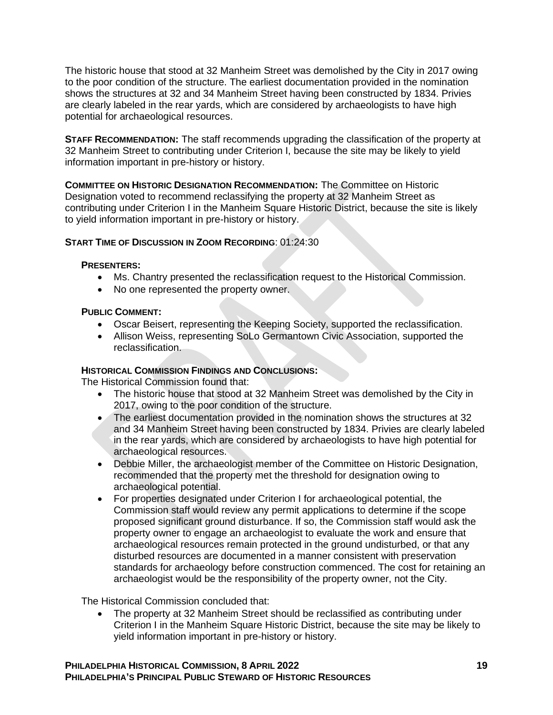The historic house that stood at 32 Manheim Street was demolished by the City in 2017 owing to the poor condition of the structure. The earliest documentation provided in the nomination shows the structures at 32 and 34 Manheim Street having been constructed by 1834. Privies are clearly labeled in the rear yards, which are considered by archaeologists to have high potential for archaeological resources.

**STAFF RECOMMENDATION:** The staff recommends upgrading the classification of the property at 32 Manheim Street to contributing under Criterion I, because the site may be likely to yield information important in pre-history or history.

**COMMITTEE ON HISTORIC DESIGNATION RECOMMENDATION:** The Committee on Historic Designation voted to recommend reclassifying the property at 32 Manheim Street as contributing under Criterion I in the Manheim Square Historic District, because the site is likely to yield information important in pre-history or history.

### **START TIME OF DISCUSSION IN ZOOM RECORDING: 01:24:30**

### **PRESENTERS:**

- Ms. Chantry presented the reclassification request to the Historical Commission.
- No one represented the property owner.

### **PUBLIC COMMENT:**

- Oscar Beisert, representing the Keeping Society, supported the reclassification.
- Allison Weiss, representing SoLo Germantown Civic Association, supported the reclassification.

### **HISTORICAL COMMISSION FINDINGS AND CONCLUSIONS:**

The Historical Commission found that:

- The historic house that stood at 32 Manheim Street was demolished by the City in 2017, owing to the poor condition of the structure.
- The earliest documentation provided in the nomination shows the structures at 32 and 34 Manheim Street having been constructed by 1834. Privies are clearly labeled in the rear yards, which are considered by archaeologists to have high potential for archaeological resources.
- Debbie Miller, the archaeologist member of the Committee on Historic Designation, recommended that the property met the threshold for designation owing to archaeological potential.
- For properties designated under Criterion I for archaeological potential, the Commission staff would review any permit applications to determine if the scope proposed significant ground disturbance. If so, the Commission staff would ask the property owner to engage an archaeologist to evaluate the work and ensure that archaeological resources remain protected in the ground undisturbed, or that any disturbed resources are documented in a manner consistent with preservation standards for archaeology before construction commenced. The cost for retaining an archaeologist would be the responsibility of the property owner, not the City.

The Historical Commission concluded that:

• The property at 32 Manheim Street should be reclassified as contributing under Criterion I in the Manheim Square Historic District, because the site may be likely to yield information important in pre-history or history.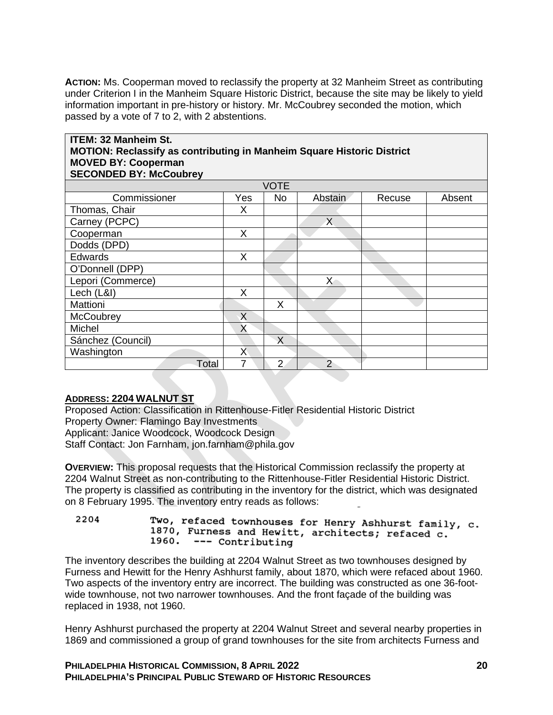**ACTION:** Ms. Cooperman moved to reclassify the property at 32 Manheim Street as contributing under Criterion I in the Manheim Square Historic District, because the site may be likely to yield information important in pre-history or history. Mr. McCoubrey seconded the motion, which passed by a vote of 7 to 2, with 2 abstentions.

### **ITEM: 32 Manheim St. MOTION: Reclassify as contributing in Manheim Square Historic District MOVED BY: Cooperman SECONDED BY: McCoubrey**

| VOTE              |     |                |                |        |        |  |  |
|-------------------|-----|----------------|----------------|--------|--------|--|--|
| Commissioner      | Yes | <b>No</b>      | Abstain        | Recuse | Absent |  |  |
| Thomas, Chair     | X   |                |                |        |        |  |  |
| Carney (PCPC)     |     |                | $\chi$         |        |        |  |  |
| Cooperman         | X   |                |                |        |        |  |  |
| Dodds (DPD)       |     |                |                |        |        |  |  |
| Edwards           | X   |                |                |        |        |  |  |
| O'Donnell (DPP)   |     |                |                |        |        |  |  |
| Lepori (Commerce) |     |                | $\mathsf{X}$   |        |        |  |  |
| Lech (L&I)        | X   |                |                |        |        |  |  |
| Mattioni          |     | X              |                |        |        |  |  |
| McCoubrey         | X   |                |                |        |        |  |  |
| Michel            | X   |                |                |        |        |  |  |
| Sánchez (Council) |     | X              |                |        |        |  |  |
| Washington        | X   |                |                |        |        |  |  |
| Total             | 7   | $\overline{2}$ | $\overline{2}$ |        |        |  |  |

# **ADDRESS: 2204 WALNUT ST**

Proposed Action: Classification in Rittenhouse-Fitler Residential Historic District Property Owner: Flamingo Bay Investments Applicant: Janice Woodcock, Woodcock Design Staff Contact: Jon Farnham, jon.farnham@phila.gov

**OVERVIEW:** This proposal requests that the Historical Commission reclassify the property at 2204 Walnut Street as non-contributing to the Rittenhouse-Fitler Residential Historic District. The property is classified as contributing in the inventory for the district, which was designated on 8 February 1995. The inventory entry reads as follows:

2204 Two, refaced townhouses for Henry Ashhurst family, c. 1870, Furness and Hewitt, architects; refaced c. 1960. --- Contributing

The inventory describes the building at 2204 Walnut Street as two townhouses designed by Furness and Hewitt for the Henry Ashhurst family, about 1870, which were refaced about 1960. Two aspects of the inventory entry are incorrect. The building was constructed as one 36-footwide townhouse, not two narrower townhouses. And the front façade of the building was replaced in 1938, not 1960.

Henry Ashhurst purchased the property at 2204 Walnut Street and several nearby properties in 1869 and commissioned a group of grand townhouses for the site from architects Furness and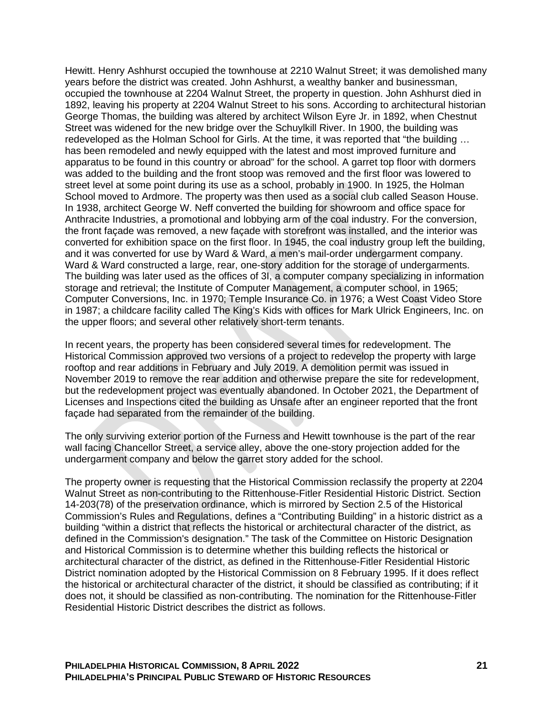Hewitt. Henry Ashhurst occupied the townhouse at 2210 Walnut Street; it was demolished many years before the district was created. John Ashhurst, a wealthy banker and businessman, occupied the townhouse at 2204 Walnut Street, the property in question. John Ashhurst died in 1892, leaving his property at 2204 Walnut Street to his sons. According to architectural historian George Thomas, the building was altered by architect Wilson Eyre Jr. in 1892, when Chestnut Street was widened for the new bridge over the Schuylkill River. In 1900, the building was redeveloped as the Holman School for Girls. At the time, it was reported that "the building … has been remodeled and newly equipped with the latest and most improved furniture and apparatus to be found in this country or abroad" for the school. A garret top floor with dormers was added to the building and the front stoop was removed and the first floor was lowered to street level at some point during its use as a school, probably in 1900. In 1925, the Holman School moved to Ardmore. The property was then used as a social club called Season House. In 1938, architect George W. Neff converted the building for showroom and office space for Anthracite Industries, a promotional and lobbying arm of the coal industry. For the conversion, the front façade was removed, a new façade with storefront was installed, and the interior was converted for exhibition space on the first floor. In 1945, the coal industry group left the building, and it was converted for use by Ward & Ward, a men's mail-order undergarment company. Ward & Ward constructed a large, rear, one-story addition for the storage of undergarments. The building was later used as the offices of 3I, a computer company specializing in information storage and retrieval; the Institute of Computer Management, a computer school, in 1965; Computer Conversions, Inc. in 1970; Temple Insurance Co. in 1976; a West Coast Video Store in 1987; a childcare facility called The King's Kids with offices for Mark Ulrick Engineers, Inc. on the upper floors; and several other relatively short-term tenants.

In recent years, the property has been considered several times for redevelopment. The Historical Commission approved two versions of a project to redevelop the property with large rooftop and rear additions in February and July 2019. A demolition permit was issued in November 2019 to remove the rear addition and otherwise prepare the site for redevelopment, but the redevelopment project was eventually abandoned. In October 2021, the Department of Licenses and Inspections cited the building as Unsafe after an engineer reported that the front façade had separated from the remainder of the building.

The only surviving exterior portion of the Furness and Hewitt townhouse is the part of the rear wall facing Chancellor Street, a service alley, above the one-story projection added for the undergarment company and below the garret story added for the school.

The property owner is requesting that the Historical Commission reclassify the property at 2204 Walnut Street as non-contributing to the Rittenhouse-Fitler Residential Historic District. Section 14-203(78) of the preservation ordinance, which is mirrored by Section 2.5 of the Historical Commission's Rules and Regulations, defines a "Contributing Building" in a historic district as a building "within a district that reflects the historical or architectural character of the district, as defined in the Commission's designation." The task of the Committee on Historic Designation and Historical Commission is to determine whether this building reflects the historical or architectural character of the district, as defined in the Rittenhouse-Fitler Residential Historic District nomination adopted by the Historical Commission on 8 February 1995. If it does reflect the historical or architectural character of the district, it should be classified as contributing; if it does not, it should be classified as non-contributing. The nomination for the Rittenhouse-Fitler Residential Historic District describes the district as follows.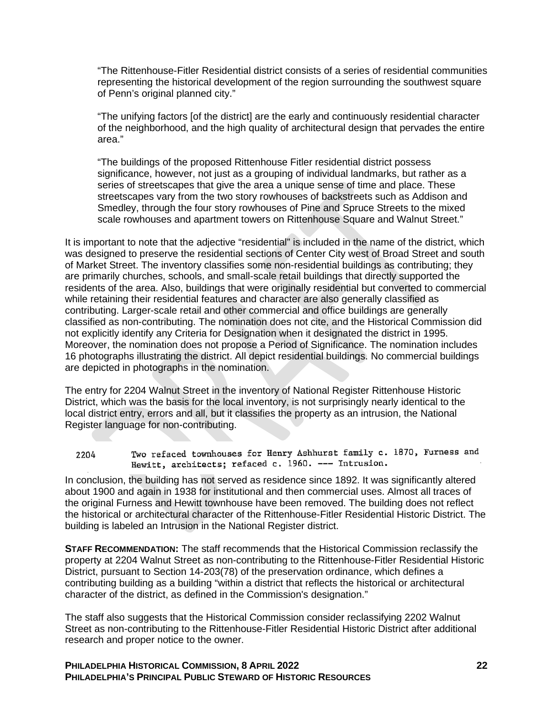"The Rittenhouse-Fitler Residential district consists of a series of residential communities representing the historical development of the region surrounding the southwest square of Penn's original planned city."

"The unifying factors [of the district] are the early and continuously residential character of the neighborhood, and the high quality of architectural design that pervades the entire area."

"The buildings of the proposed Rittenhouse Fitler residential district possess significance, however, not just as a grouping of individual landmarks, but rather as a series of streetscapes that give the area a unique sense of time and place. These streetscapes vary from the two story rowhouses of backstreets such as Addison and Smedley, through the four story rowhouses of Pine and Spruce Streets to the mixed scale rowhouses and apartment towers on Rittenhouse Square and Walnut Street."

It is important to note that the adjective "residential" is included in the name of the district, which was designed to preserve the residential sections of Center City west of Broad Street and south of Market Street. The inventory classifies some non-residential buildings as contributing; they are primarily churches, schools, and small-scale retail buildings that directly supported the residents of the area. Also, buildings that were originally residential but converted to commercial while retaining their residential features and character are also generally classified as contributing. Larger-scale retail and other commercial and office buildings are generally classified as non-contributing. The nomination does not cite, and the Historical Commission did not explicitly identify any Criteria for Designation when it designated the district in 1995. Moreover, the nomination does not propose a Period of Significance. The nomination includes 16 photographs illustrating the district. All depict residential buildings. No commercial buildings are depicted in photographs in the nomination.

The entry for 2204 Walnut Street in the inventory of National Register Rittenhouse Historic District, which was the basis for the local inventory, is not surprisingly nearly identical to the local district entry, errors and all, but it classifies the property as an intrusion, the National Register language for non-contributing.

Two refaced townhouses for Henry Ashhurst family c. 1870, Furness and 2204 Hewitt, architects; refaced c. 1960. --- Intrusion.

In conclusion, the building has not served as residence since 1892. It was significantly altered about 1900 and again in 1938 for institutional and then commercial uses. Almost all traces of the original Furness and Hewitt townhouse have been removed. The building does not reflect the historical or architectural character of the Rittenhouse-Fitler Residential Historic District. The building is labeled an Intrusion in the National Register district.

**STAFF RECOMMENDATION:** The staff recommends that the Historical Commission reclassify the property at 2204 Walnut Street as non-contributing to the Rittenhouse-Fitler Residential Historic District, pursuant to Section 14-203(78) of the preservation ordinance, which defines a contributing building as a building "within a district that reflects the historical or architectural character of the district, as defined in the Commission's designation."

The staff also suggests that the Historical Commission consider reclassifying 2202 Walnut Street as non-contributing to the Rittenhouse-Fitler Residential Historic District after additional research and proper notice to the owner.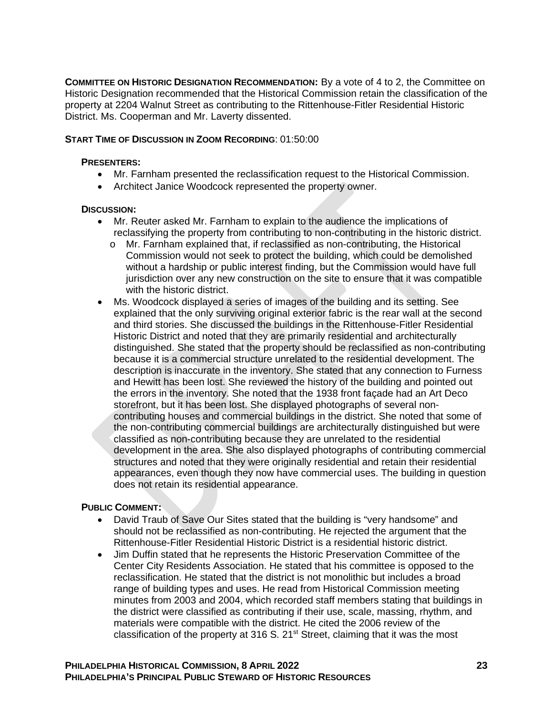**COMMITTEE ON HISTORIC DESIGNATION RECOMMENDATION:** By a vote of 4 to 2, the Committee on Historic Designation recommended that the Historical Commission retain the classification of the property at 2204 Walnut Street as contributing to the Rittenhouse-Fitler Residential Historic District. Ms. Cooperman and Mr. Laverty dissented.

### **START TIME OF DISCUSSION IN ZOOM RECORDING**: 01:50:00

### **PRESENTERS:**

- Mr. Farnham presented the reclassification request to the Historical Commission.
- Architect Janice Woodcock represented the property owner.

### **DISCUSSION:**

- Mr. Reuter asked Mr. Farnham to explain to the audience the implications of reclassifying the property from contributing to non-contributing in the historic district.
	- o Mr. Farnham explained that, if reclassified as non-contributing, the Historical Commission would not seek to protect the building, which could be demolished without a hardship or public interest finding, but the Commission would have full jurisdiction over any new construction on the site to ensure that it was compatible with the historic district.
- Ms. Woodcock displayed a series of images of the building and its setting. See explained that the only surviving original exterior fabric is the rear wall at the second and third stories. She discussed the buildings in the Rittenhouse-Fitler Residential Historic District and noted that they are primarily residential and architecturally distinguished. She stated that the property should be reclassified as non-contributing because it is a commercial structure unrelated to the residential development. The description is inaccurate in the inventory. She stated that any connection to Furness and Hewitt has been lost. She reviewed the history of the building and pointed out the errors in the inventory. She noted that the 1938 front façade had an Art Deco storefront, but it has been lost. She displayed photographs of several noncontributing houses and commercial buildings in the district. She noted that some of the non-contributing commercial buildings are architecturally distinguished but were classified as non-contributing because they are unrelated to the residential development in the area. She also displayed photographs of contributing commercial structures and noted that they were originally residential and retain their residential appearances, even though they now have commercial uses. The building in question does not retain its residential appearance.

## **PUBLIC COMMENT:**

- David Traub of Save Our Sites stated that the building is "very handsome" and should not be reclassified as non-contributing. He rejected the argument that the Rittenhouse-Fitler Residential Historic District is a residential historic district.
- Jim Duffin stated that he represents the Historic Preservation Committee of the Center City Residents Association. He stated that his committee is opposed to the reclassification. He stated that the district is not monolithic but includes a broad range of building types and uses. He read from Historical Commission meeting minutes from 2003 and 2004, which recorded staff members stating that buildings in the district were classified as contributing if their use, scale, massing, rhythm, and materials were compatible with the district. He cited the 2006 review of the classification of the property at 316 S. 21<sup>st</sup> Street, claiming that it was the most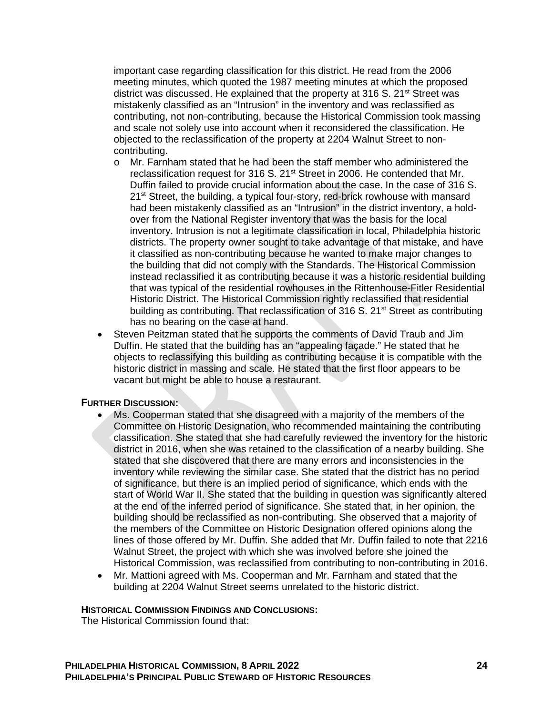important case regarding classification for this district. He read from the 2006 meeting minutes, which quoted the 1987 meeting minutes at which the proposed district was discussed. He explained that the property at 316 S.  $21<sup>st</sup>$  Street was mistakenly classified as an "Intrusion" in the inventory and was reclassified as contributing, not non-contributing, because the Historical Commission took massing and scale not solely use into account when it reconsidered the classification. He objected to the reclassification of the property at 2204 Walnut Street to noncontributing.

- o Mr. Farnham stated that he had been the staff member who administered the reclassification request for 316 S. 21<sup>st</sup> Street in 2006. He contended that Mr. Duffin failed to provide crucial information about the case. In the case of 316 S. 21<sup>st</sup> Street, the building, a typical four-story, red-brick rowhouse with mansard had been mistakenly classified as an "Intrusion" in the district inventory, a holdover from the National Register inventory that was the basis for the local inventory. Intrusion is not a legitimate classification in local, Philadelphia historic districts. The property owner sought to take advantage of that mistake, and have it classified as non-contributing because he wanted to make major changes to the building that did not comply with the Standards. The Historical Commission instead reclassified it as contributing because it was a historic residential building that was typical of the residential rowhouses in the Rittenhouse-Fitler Residential Historic District. The Historical Commission rightly reclassified that residential building as contributing. That reclassification of 316 S.  $21<sup>st</sup>$  Street as contributing has no bearing on the case at hand.
- Steven Peitzman stated that he supports the comments of David Traub and Jim Duffin. He stated that the building has an "appealing façade." He stated that he objects to reclassifying this building as contributing because it is compatible with the historic district in massing and scale. He stated that the first floor appears to be vacant but might be able to house a restaurant.

### **FURTHER DISCUSSION:**

- Ms. Cooperman stated that she disagreed with a majority of the members of the Committee on Historic Designation, who recommended maintaining the contributing classification. She stated that she had carefully reviewed the inventory for the historic district in 2016, when she was retained to the classification of a nearby building. She stated that she discovered that there are many errors and inconsistencies in the inventory while reviewing the similar case. She stated that the district has no period of significance, but there is an implied period of significance, which ends with the start of World War II. She stated that the building in question was significantly altered at the end of the inferred period of significance. She stated that, in her opinion, the building should be reclassified as non-contributing. She observed that a majority of the members of the Committee on Historic Designation offered opinions along the lines of those offered by Mr. Duffin. She added that Mr. Duffin failed to note that 2216 Walnut Street, the project with which she was involved before she joined the Historical Commission, was reclassified from contributing to non-contributing in 2016.
- Mr. Mattioni agreed with Ms. Cooperman and Mr. Farnham and stated that the building at 2204 Walnut Street seems unrelated to the historic district.

### **HISTORICAL COMMISSION FINDINGS AND CONCLUSIONS:**

The Historical Commission found that: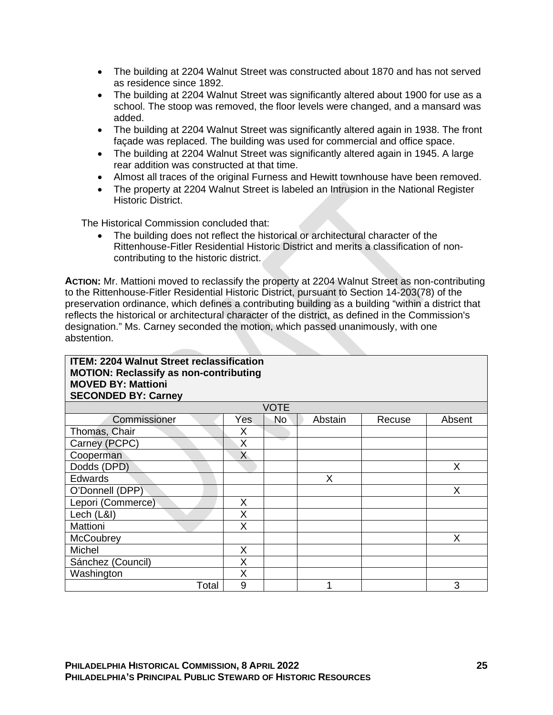- The building at 2204 Walnut Street was constructed about 1870 and has not served as residence since 1892.
- The building at 2204 Walnut Street was significantly altered about 1900 for use as a school. The stoop was removed, the floor levels were changed, and a mansard was added.
- The building at 2204 Walnut Street was significantly altered again in 1938. The front façade was replaced. The building was used for commercial and office space.
- The building at 2204 Walnut Street was significantly altered again in 1945. A large rear addition was constructed at that time.
- Almost all traces of the original Furness and Hewitt townhouse have been removed.
- The property at 2204 Walnut Street is labeled an Intrusion in the National Register Historic District.

The Historical Commission concluded that:

• The building does not reflect the historical or architectural character of the Rittenhouse-Fitler Residential Historic District and merits a classification of noncontributing to the historic district.

**ACTION:** Mr. Mattioni moved to reclassify the property at 2204 Walnut Street as non-contributing to the Rittenhouse-Fitler Residential Historic District, pursuant to Section 14-203(78) of the preservation ordinance, which defines a contributing building as a building "within a district that reflects the historical or architectural character of the district, as defined in the Commission's designation." Ms. Carney seconded the motion, which passed unanimously, with one abstention.

| <b>ITEM: 2204 Walnut Street reclassification</b><br><b>MOTION: Reclassify as non-contributing</b><br><b>MOVED BY: Mattioni</b><br><b>SECONDED BY: Carney</b> |     |             |         |        |        |  |
|--------------------------------------------------------------------------------------------------------------------------------------------------------------|-----|-------------|---------|--------|--------|--|
|                                                                                                                                                              |     | <b>VOTE</b> |         |        |        |  |
| Commissioner                                                                                                                                                 | Yes | No          | Abstain | Recuse | Absent |  |
| Thomas, Chair                                                                                                                                                | Χ   |             |         |        |        |  |
| Carney (PCPC)                                                                                                                                                | X   |             |         |        |        |  |
| Cooperman                                                                                                                                                    | X   |             |         |        |        |  |
| Dodds (DPD)                                                                                                                                                  |     |             |         |        | X      |  |
| <b>Edwards</b>                                                                                                                                               |     |             | X       |        |        |  |
| O'Donnell (DPP)                                                                                                                                              |     |             |         |        | X      |  |
| Lepori (Commerce)                                                                                                                                            | X   |             |         |        |        |  |
| Lech (L&I)                                                                                                                                                   | X   |             |         |        |        |  |
| Mattioni                                                                                                                                                     | X   |             |         |        |        |  |
| <b>McCoubrey</b>                                                                                                                                             |     |             |         |        | X      |  |
| Michel                                                                                                                                                       | X   |             |         |        |        |  |
| Sánchez (Council)                                                                                                                                            | Χ   |             |         |        |        |  |
| Washington                                                                                                                                                   | X   |             |         |        |        |  |
| Total                                                                                                                                                        | 9   |             |         |        | 3      |  |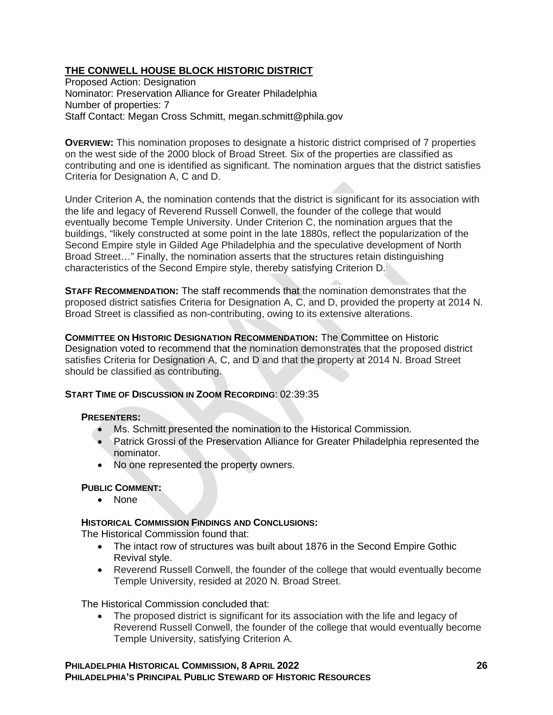# **THE CONWELL HOUSE BLOCK HISTORIC DISTRICT**

Proposed Action: Designation Nominator: Preservation Alliance for Greater Philadelphia Number of properties: 7 Staff Contact: Megan Cross Schmitt, megan.schmitt@phila.gov

**OVERVIEW:** This nomination proposes to designate a historic district comprised of 7 properties on the west side of the 2000 block of Broad Street. Six of the properties are classified as contributing and one is identified as significant. The nomination argues that the district satisfies Criteria for Designation A, C and D.

Under Criterion A, the nomination contends that the district is significant for its association with the life and legacy of Reverend Russell Conwell, the founder of the college that would eventually become Temple University. Under Criterion C, the nomination argues that the buildings, "likely constructed at some point in the late 1880s, reflect the popularization of the Second Empire style in Gilded Age Philadelphia and the speculative development of North Broad Street…" Finally, the nomination asserts that the structures retain distinguishing characteristics of the Second Empire style, thereby satisfying Criterion D.

**STAFF RECOMMENDATION:** The staff recommends that the nomination demonstrates that the proposed district satisfies Criteria for Designation A, C, and D, provided the property at 2014 N. Broad Street is classified as non-contributing, owing to its extensive alterations.

**COMMITTEE ON HISTORIC DESIGNATION RECOMMENDATION:** The Committee on Historic Designation voted to recommend that the nomination demonstrates that the proposed district satisfies Criteria for Designation A, C, and D and that the property at 2014 N. Broad Street should be classified as contributing.

## **START TIME OF DISCUSSION IN ZOOM RECORDING**: 02:39:35

## **PRESENTERS:**

- Ms. Schmitt presented the nomination to the Historical Commission.
- Patrick Grossi of the Preservation Alliance for Greater Philadelphia represented the nominator.
- No one represented the property owners.

## **PUBLIC COMMENT:**

• None

## **HISTORICAL COMMISSION FINDINGS AND CONCLUSIONS:**

The Historical Commission found that:

- The intact row of structures was built about 1876 in the Second Empire Gothic Revival style.
- Reverend Russell Conwell, the founder of the college that would eventually become Temple University, resided at 2020 N. Broad Street.

The Historical Commission concluded that:

• The proposed district is significant for its association with the life and legacy of Reverend Russell Conwell, the founder of the college that would eventually become Temple University, satisfying Criterion A.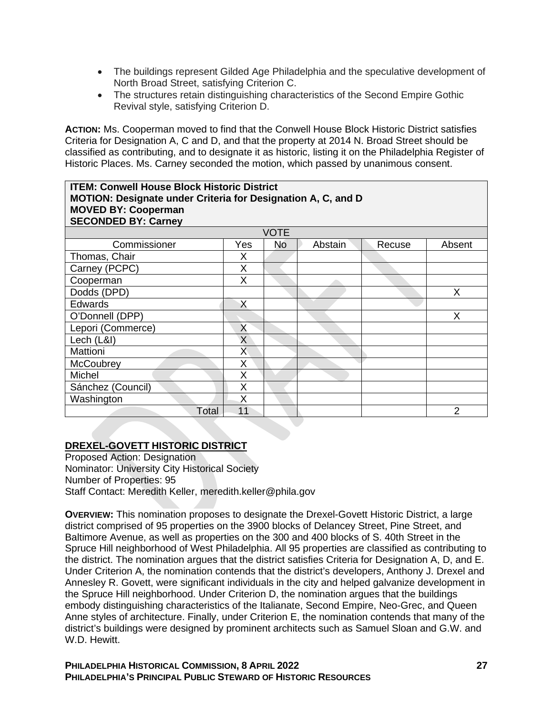- The buildings represent Gilded Age Philadelphia and the speculative development of North Broad Street, satisfying Criterion C.
- The structures retain distinguishing characteristics of the Second Empire Gothic Revival style, satisfying Criterion D.

**ACTION:** Ms. Cooperman moved to find that the Conwell House Block Historic District satisfies Criteria for Designation A, C and D, and that the property at 2014 N. Broad Street should be classified as contributing, and to designate it as historic, listing it on the Philadelphia Register of Historic Places. Ms. Carney seconded the motion, which passed by unanimous consent.

| <b>ITEM: Conwell House Block Historic District</b>           |             |           |         |        |        |  |  |
|--------------------------------------------------------------|-------------|-----------|---------|--------|--------|--|--|
| MOTION: Designate under Criteria for Designation A, C, and D |             |           |         |        |        |  |  |
| <b>MOVED BY: Cooperman</b><br><b>SECONDED BY: Carney</b>     |             |           |         |        |        |  |  |
|                                                              | <b>VOTE</b> |           |         |        |        |  |  |
| Commissioner                                                 | Yes         | <b>No</b> | Abstain | Recuse | Absent |  |  |
| Thomas, Chair                                                | X           |           |         |        |        |  |  |
| Carney (PCPC)                                                | X           |           |         |        |        |  |  |
| Cooperman                                                    | X           |           |         |        |        |  |  |
| Dodds (DPD)                                                  |             |           |         |        | X      |  |  |
| <b>Edwards</b>                                               | X           |           |         |        |        |  |  |
| O'Donnell (DPP)                                              |             |           |         |        | X      |  |  |
| Lepori (Commerce)                                            | X           |           |         |        |        |  |  |
| Lech (L&I)                                                   | X           |           |         |        |        |  |  |
| Mattioni                                                     | X           |           |         |        |        |  |  |
| <b>McCoubrey</b>                                             | X           |           |         |        |        |  |  |
| Michel                                                       | Χ           |           |         |        |        |  |  |
| Sánchez (Council)                                            | X           |           |         |        |        |  |  |
| Washington                                                   | X           |           |         |        |        |  |  |
| Total                                                        | 11          |           |         |        | 2      |  |  |

## **DREXEL-GOVETT HISTORIC DISTRICT**

Proposed Action: Designation Nominator: University City Historical Society Number of Properties: 95 Staff Contact: Meredith Keller, meredith.keller@phila.gov

**OVERVIEW:** This nomination proposes to designate the Drexel-Govett Historic District, a large district comprised of 95 properties on the 3900 blocks of Delancey Street, Pine Street, and Baltimore Avenue, as well as properties on the 300 and 400 blocks of S. 40th Street in the Spruce Hill neighborhood of West Philadelphia. All 95 properties are classified as contributing to the district. The nomination argues that the district satisfies Criteria for Designation A, D, and E. Under Criterion A, the nomination contends that the district's developers, Anthony J. Drexel and Annesley R. Govett, were significant individuals in the city and helped galvanize development in the Spruce Hill neighborhood. Under Criterion D, the nomination argues that the buildings embody distinguishing characteristics of the Italianate, Second Empire, Neo-Grec, and Queen Anne styles of architecture. Finally, under Criterion E, the nomination contends that many of the district's buildings were designed by prominent architects such as Samuel Sloan and G.W. and W.D. Hewitt.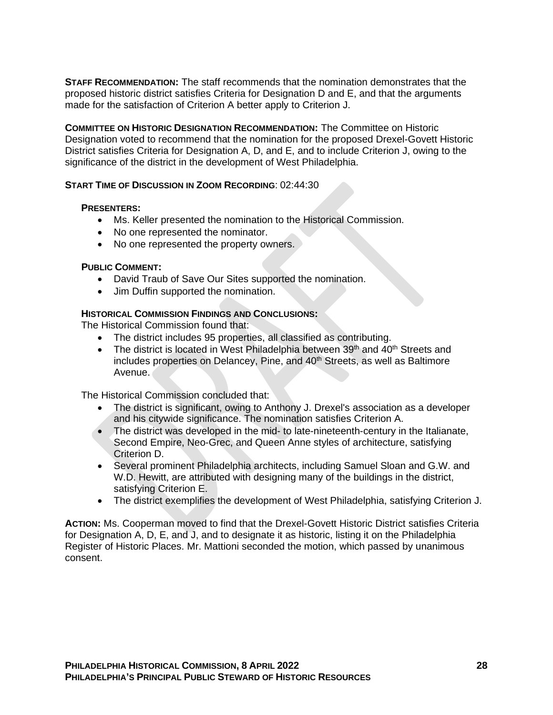**STAFF RECOMMENDATION:** The staff recommends that the nomination demonstrates that the proposed historic district satisfies Criteria for Designation D and E, and that the arguments made for the satisfaction of Criterion A better apply to Criterion J.

**COMMITTEE ON HISTORIC DESIGNATION RECOMMENDATION:** The Committee on Historic Designation voted to recommend that the nomination for the proposed Drexel-Govett Historic District satisfies Criteria for Designation A, D, and E, and to include Criterion J, owing to the significance of the district in the development of West Philadelphia.

### **START TIME OF DISCUSSION IN ZOOM RECORDING**: 02:44:30

### **PRESENTERS:**

- Ms. Keller presented the nomination to the Historical Commission.
- No one represented the nominator.
- No one represented the property owners.

## **PUBLIC COMMENT:**

- David Traub of Save Our Sites supported the nomination.
- Jim Duffin supported the nomination.

## **HISTORICAL COMMISSION FINDINGS AND CONCLUSIONS:**

The Historical Commission found that:

- The district includes 95 properties, all classified as contributing.
- The district is located in West Philadelphia between  $39<sup>th</sup>$  and  $40<sup>th</sup>$  Streets and includes properties on Delancey, Pine, and 40<sup>th</sup> Streets, as well as Baltimore Avenue.

The Historical Commission concluded that:

- The district is significant, owing to Anthony J. Drexel's association as a developer and his citywide significance. The nomination satisfies Criterion A.
- The district was developed in the mid- to late-nineteenth-century in the Italianate, Second Empire, Neo-Grec, and Queen Anne styles of architecture, satisfying Criterion D.
- Several prominent Philadelphia architects, including Samuel Sloan and G.W. and W.D. Hewitt, are attributed with designing many of the buildings in the district, satisfying Criterion E.
- The district exemplifies the development of West Philadelphia, satisfying Criterion J.

**ACTION:** Ms. Cooperman moved to find that the Drexel-Govett Historic District satisfies Criteria for Designation A, D, E, and J, and to designate it as historic, listing it on the Philadelphia Register of Historic Places. Mr. Mattioni seconded the motion, which passed by unanimous consent.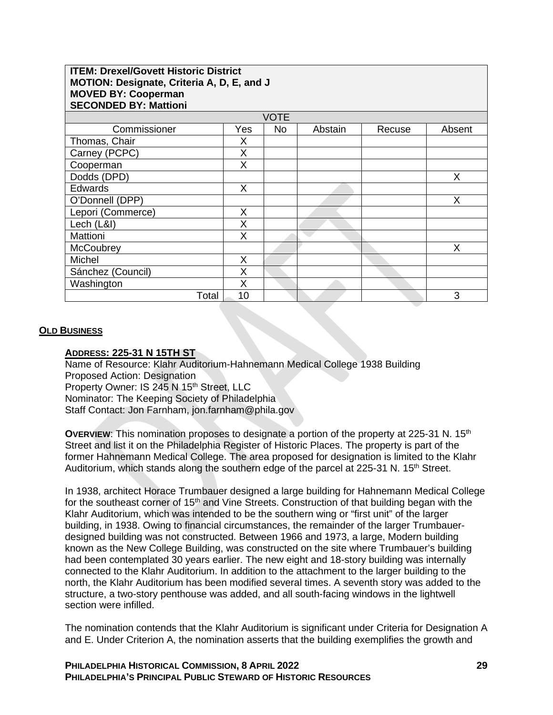| <b>ITEM: Drexel/Govett Historic District</b><br>MOTION: Designate, Criteria A, D, E, and J<br><b>MOVED BY: Cooperman</b><br><b>SECONDED BY: Mattioni</b> |     |             |         |        |        |  |  |
|----------------------------------------------------------------------------------------------------------------------------------------------------------|-----|-------------|---------|--------|--------|--|--|
|                                                                                                                                                          |     | <b>VOTE</b> |         |        |        |  |  |
| Commissioner                                                                                                                                             | Yes | <b>No</b>   | Abstain | Recuse | Absent |  |  |
| Thomas, Chair                                                                                                                                            | Х   |             |         |        |        |  |  |
| Carney (PCPC)                                                                                                                                            | X   |             |         |        |        |  |  |
| Cooperman                                                                                                                                                | Χ   |             |         |        |        |  |  |
| Dodds (DPD)                                                                                                                                              |     |             |         |        | Χ      |  |  |
| <b>Edwards</b>                                                                                                                                           | X   |             |         |        |        |  |  |
| O'Donnell (DPP)                                                                                                                                          |     |             |         |        | X      |  |  |
| Lepori (Commerce)                                                                                                                                        | X   |             |         |        |        |  |  |
| Lech (L&I)                                                                                                                                               | X   |             |         |        |        |  |  |
| <b>Mattioni</b>                                                                                                                                          | X   |             |         |        |        |  |  |
| McCoubrey                                                                                                                                                |     |             |         |        | X      |  |  |
| <b>Michel</b>                                                                                                                                            | X   |             |         |        |        |  |  |
| Sánchez (Council)                                                                                                                                        | Χ   |             |         |        |        |  |  |
| Washington                                                                                                                                               | X   |             |         |        |        |  |  |
| Total                                                                                                                                                    | 10  |             |         |        | 3      |  |  |

### **OLD BUSINESS**

### **ADDRESS: 225-31 N 15TH ST**

Name of Resource: Klahr Auditorium-Hahnemann Medical College 1938 Building Proposed Action: Designation Property Owner: IS 245 N 15<sup>th</sup> Street, LLC Nominator: The Keeping Society of Philadelphia Staff Contact: Jon Farnham, jon.farnham@phila.gov

**OVERVIEW:** This nomination proposes to designate a portion of the property at 225-31 N. 15<sup>th</sup> Street and list it on the Philadelphia Register of Historic Places. The property is part of the former Hahnemann Medical College. The area proposed for designation is limited to the Klahr Auditorium, which stands along the southern edge of the parcel at 225-31 N. 15<sup>th</sup> Street.

In 1938, architect Horace Trumbauer designed a large building for Hahnemann Medical College for the southeast corner of 15<sup>th</sup> and Vine Streets. Construction of that building began with the Klahr Auditorium, which was intended to be the southern wing or "first unit" of the larger building, in 1938. Owing to financial circumstances, the remainder of the larger Trumbauerdesigned building was not constructed. Between 1966 and 1973, a large, Modern building known as the New College Building, was constructed on the site where Trumbauer's building had been contemplated 30 years earlier. The new eight and 18-story building was internally connected to the Klahr Auditorium. In addition to the attachment to the larger building to the north, the Klahr Auditorium has been modified several times. A seventh story was added to the structure, a two-story penthouse was added, and all south-facing windows in the lightwell section were infilled.

The nomination contends that the Klahr Auditorium is significant under Criteria for Designation A and E. Under Criterion A, the nomination asserts that the building exemplifies the growth and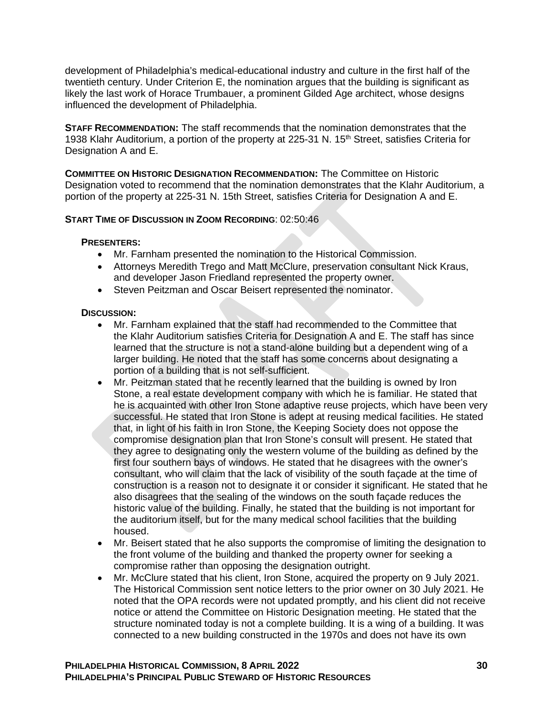development of Philadelphia's medical-educational industry and culture in the first half of the twentieth century. Under Criterion E, the nomination argues that the building is significant as likely the last work of Horace Trumbauer, a prominent Gilded Age architect, whose designs influenced the development of Philadelphia.

**STAFF RECOMMENDATION:** The staff recommends that the nomination demonstrates that the 1938 Klahr Auditorium, a portion of the property at 225-31 N. 15<sup>th</sup> Street, satisfies Criteria for Designation A and E.

**COMMITTEE ON HISTORIC DESIGNATION RECOMMENDATION:** The Committee on Historic Designation voted to recommend that the nomination demonstrates that the Klahr Auditorium, a portion of the property at 225-31 N. 15th Street, satisfies Criteria for Designation A and E.

### **START TIME OF DISCUSSION IN ZOOM RECORDING**: 02:50:46

### **PRESENTERS:**

- Mr. Farnham presented the nomination to the Historical Commission.
- Attorneys Meredith Trego and Matt McClure, preservation consultant Nick Kraus, and developer Jason Friedland represented the property owner.
- Steven Peitzman and Oscar Beisert represented the nominator.

### **DISCUSSION:**

- Mr. Farnham explained that the staff had recommended to the Committee that the Klahr Auditorium satisfies Criteria for Designation A and E. The staff has since learned that the structure is not a stand-alone building but a dependent wing of a larger building. He noted that the staff has some concerns about designating a portion of a building that is not self-sufficient.
- Mr. Peitzman stated that he recently learned that the building is owned by Iron Stone, a real estate development company with which he is familiar. He stated that he is acquainted with other Iron Stone adaptive reuse projects, which have been very successful. He stated that Iron Stone is adept at reusing medical facilities. He stated that, in light of his faith in Iron Stone, the Keeping Society does not oppose the compromise designation plan that Iron Stone's consult will present. He stated that they agree to designating only the western volume of the building as defined by the first four southern bays of windows. He stated that he disagrees with the owner's consultant, who will claim that the lack of visibility of the south façade at the time of construction is a reason not to designate it or consider it significant. He stated that he also disagrees that the sealing of the windows on the south façade reduces the historic value of the building. Finally, he stated that the building is not important for the auditorium itself, but for the many medical school facilities that the building housed.
- Mr. Beisert stated that he also supports the compromise of limiting the designation to the front volume of the building and thanked the property owner for seeking a compromise rather than opposing the designation outright.
- Mr. McClure stated that his client, Iron Stone, acquired the property on 9 July 2021. The Historical Commission sent notice letters to the prior owner on 30 July 2021. He noted that the OPA records were not updated promptly, and his client did not receive notice or attend the Committee on Historic Designation meeting. He stated that the structure nominated today is not a complete building. It is a wing of a building. It was connected to a new building constructed in the 1970s and does not have its own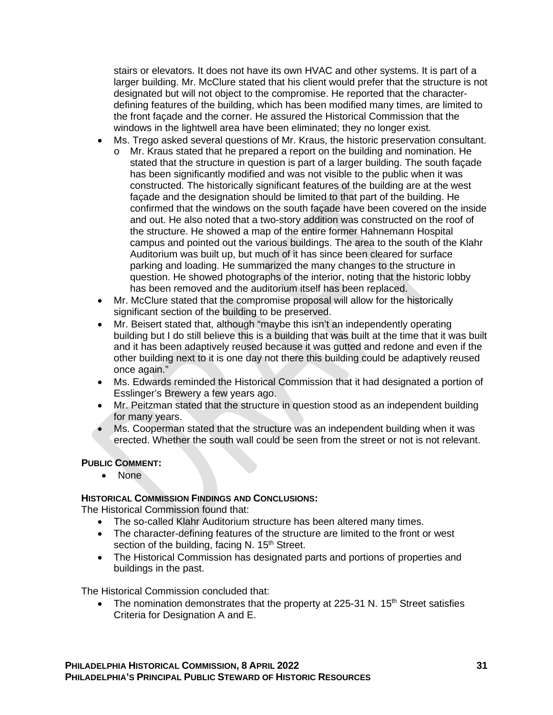stairs or elevators. It does not have its own HVAC and other systems. It is part of a larger building. Mr. McClure stated that his client would prefer that the structure is not designated but will not object to the compromise. He reported that the characterdefining features of the building, which has been modified many times, are limited to the front façade and the corner. He assured the Historical Commission that the windows in the lightwell area have been eliminated; they no longer exist.

- Ms. Trego asked several questions of Mr. Kraus, the historic preservation consultant.
	- o Mr. Kraus stated that he prepared a report on the building and nomination. He stated that the structure in question is part of a larger building. The south façade has been significantly modified and was not visible to the public when it was constructed. The historically significant features of the building are at the west façade and the designation should be limited to that part of the building. He confirmed that the windows on the south façade have been covered on the inside and out. He also noted that a two-story addition was constructed on the roof of the structure. He showed a map of the entire former Hahnemann Hospital campus and pointed out the various buildings. The area to the south of the Klahr Auditorium was built up, but much of it has since been cleared for surface parking and loading. He summarized the many changes to the structure in question. He showed photographs of the interior, noting that the historic lobby has been removed and the auditorium itself has been replaced.
- Mr. McClure stated that the compromise proposal will allow for the historically significant section of the building to be preserved.
- Mr. Beisert stated that, although "maybe this isn't an independently operating building but I do still believe this is a building that was built at the time that it was built and it has been adaptively reused because it was gutted and redone and even if the other building next to it is one day not there this building could be adaptively reused once again."
- Ms. Edwards reminded the Historical Commission that it had designated a portion of Esslinger's Brewery a few years ago.
- Mr. Peitzman stated that the structure in question stood as an independent building for many years.
- Ms. Cooperman stated that the structure was an independent building when it was erected. Whether the south wall could be seen from the street or not is not relevant.

## **PUBLIC COMMENT:**

• None

## **HISTORICAL COMMISSION FINDINGS AND CONCLUSIONS:**

The Historical Commission found that:

- The so-called Klahr Auditorium structure has been altered many times.
- The character-defining features of the structure are limited to the front or west section of the building, facing N. 15<sup>th</sup> Street.
- The Historical Commission has designated parts and portions of properties and buildings in the past.

The Historical Commission concluded that:

• The nomination demonstrates that the property at 225-31 N.  $15<sup>th</sup>$  Street satisfies Criteria for Designation A and E.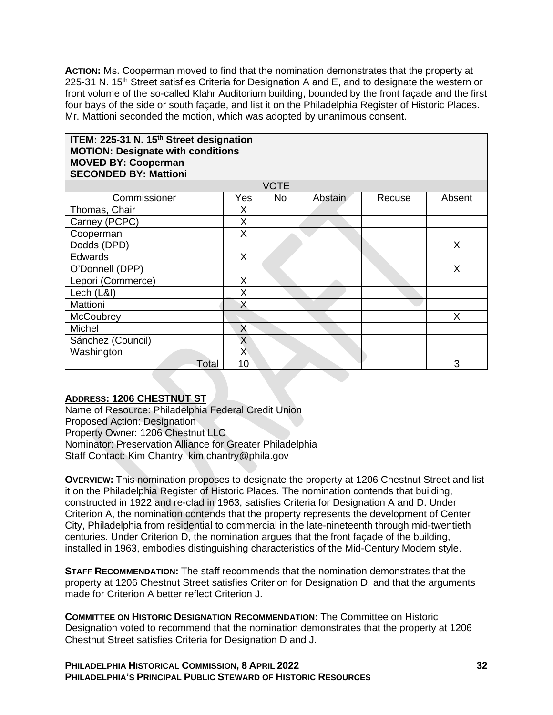**ACTION:** Ms. Cooperman moved to find that the nomination demonstrates that the property at 225-31 N. 15<sup>th</sup> Street satisfies Criteria for Designation A and E, and to designate the western or front volume of the so-called Klahr Auditorium building, bounded by the front façade and the first four bays of the side or south façade, and list it on the Philadelphia Register of Historic Places. Mr. Mattioni seconded the motion, which was adopted by unanimous consent.

## **ITEM: 225-31 N. 15th Street designation MOTION: Designate with conditions MOVED BY: Cooperman SECONDED BY: Mattioni**

| <b>VOTE</b>       |     |           |         |        |        |  |
|-------------------|-----|-----------|---------|--------|--------|--|
| Commissioner      | Yes | <b>No</b> | Abstain | Recuse | Absent |  |
| Thomas, Chair     | X   |           |         |        |        |  |
| Carney (PCPC)     | Χ   |           |         |        |        |  |
| Cooperman         | X   |           |         |        |        |  |
| Dodds (DPD)       |     |           |         |        | X      |  |
| Edwards           | X   |           |         |        |        |  |
| O'Donnell (DPP)   |     |           |         |        | Χ      |  |
| Lepori (Commerce) | Χ   |           |         |        |        |  |
| Lech (L&I)        | X   |           |         |        |        |  |
| Mattioni          | Χ   |           |         |        |        |  |
| McCoubrey         |     |           |         |        | X      |  |
| Michel            | X   |           |         |        |        |  |
| Sánchez (Council) | X   |           |         |        |        |  |
| Washington        | Х   |           |         |        |        |  |
| Total             | 10  |           |         |        | 3      |  |

# **ADDRESS: 1206 CHESTNUT ST**

Name of Resource: Philadelphia Federal Credit Union Proposed Action: Designation Property Owner: 1206 Chestnut LLC Nominator: Preservation Alliance for Greater Philadelphia Staff Contact: Kim Chantry, kim.chantry@phila.gov

**OVERVIEW:** This nomination proposes to designate the property at 1206 Chestnut Street and list it on the Philadelphia Register of Historic Places. The nomination contends that building, constructed in 1922 and re-clad in 1963, satisfies Criteria for Designation A and D. Under Criterion A, the nomination contends that the property represents the development of Center City, Philadelphia from residential to commercial in the late-nineteenth through mid-twentieth centuries. Under Criterion D, the nomination argues that the front façade of the building, installed in 1963, embodies distinguishing characteristics of the Mid-Century Modern style.

**STAFF RECOMMENDATION:** The staff recommends that the nomination demonstrates that the property at 1206 Chestnut Street satisfies Criterion for Designation D, and that the arguments made for Criterion A better reflect Criterion J.

**COMMITTEE ON HISTORIC DESIGNATION RECOMMENDATION:** The Committee on Historic Designation voted to recommend that the nomination demonstrates that the property at 1206 Chestnut Street satisfies Criteria for Designation D and J.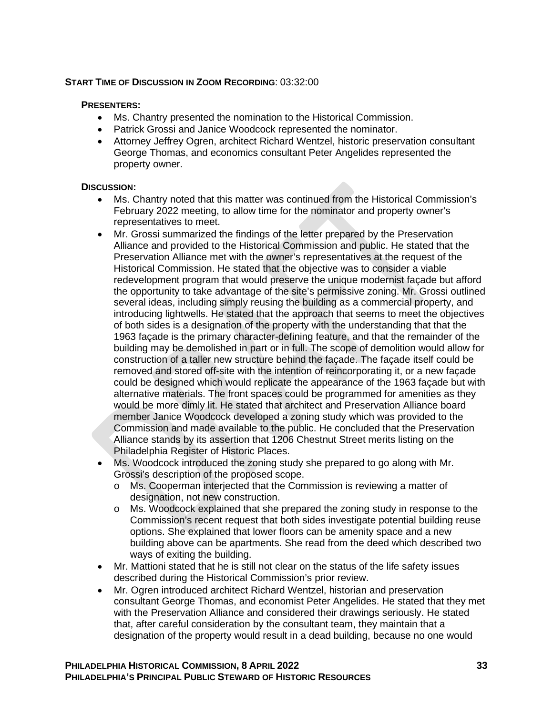## **START TIME OF DISCUSSION IN ZOOM RECORDING**: 03:32:00

#### **PRESENTERS:**

- Ms. Chantry presented the nomination to the Historical Commission.
- Patrick Grossi and Janice Woodcock represented the nominator.
- Attorney Jeffrey Ogren, architect Richard Wentzel, historic preservation consultant George Thomas, and economics consultant Peter Angelides represented the property owner.

### **DISCUSSION:**

- Ms. Chantry noted that this matter was continued from the Historical Commission's February 2022 meeting, to allow time for the nominator and property owner's representatives to meet.
- Mr. Grossi summarized the findings of the letter prepared by the Preservation Alliance and provided to the Historical Commission and public. He stated that the Preservation Alliance met with the owner's representatives at the request of the Historical Commission. He stated that the objective was to consider a viable redevelopment program that would preserve the unique modernist façade but afford the opportunity to take advantage of the site's permissive zoning. Mr. Grossi outlined several ideas, including simply reusing the building as a commercial property, and introducing lightwells. He stated that the approach that seems to meet the objectives of both sides is a designation of the property with the understanding that that the 1963 façade is the primary character-defining feature, and that the remainder of the building may be demolished in part or in full. The scope of demolition would allow for construction of a taller new structure behind the façade. The façade itself could be removed and stored off-site with the intention of reincorporating it, or a new façade could be designed which would replicate the appearance of the 1963 façade but with alternative materials. The front spaces could be programmed for amenities as they would be more dimly lit. He stated that architect and Preservation Alliance board member Janice Woodcock developed a zoning study which was provided to the Commission and made available to the public. He concluded that the Preservation Alliance stands by its assertion that 1206 Chestnut Street merits listing on the Philadelphia Register of Historic Places.
- Ms. Woodcock introduced the zoning study she prepared to go along with Mr. Grossi's description of the proposed scope.
	- o Ms. Cooperman interjected that the Commission is reviewing a matter of designation, not new construction.
	- o Ms. Woodcock explained that she prepared the zoning study in response to the Commission's recent request that both sides investigate potential building reuse options. She explained that lower floors can be amenity space and a new building above can be apartments. She read from the deed which described two ways of exiting the building.
- Mr. Mattioni stated that he is still not clear on the status of the life safety issues described during the Historical Commission's prior review.
- Mr. Ogren introduced architect Richard Wentzel, historian and preservation consultant George Thomas, and economist Peter Angelides. He stated that they met with the Preservation Alliance and considered their drawings seriously. He stated that, after careful consideration by the consultant team, they maintain that a designation of the property would result in a dead building, because no one would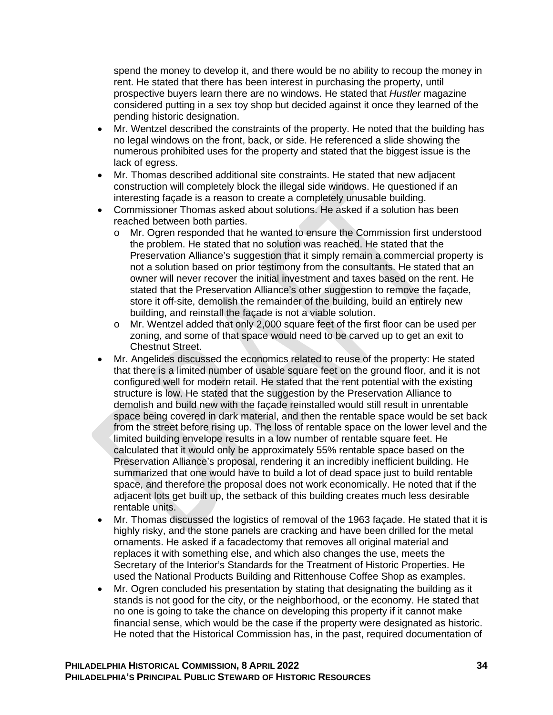spend the money to develop it, and there would be no ability to recoup the money in rent. He stated that there has been interest in purchasing the property, until prospective buyers learn there are no windows. He stated that *Hustler* magazine considered putting in a sex toy shop but decided against it once they learned of the pending historic designation.

- Mr. Wentzel described the constraints of the property. He noted that the building has no legal windows on the front, back, or side. He referenced a slide showing the numerous prohibited uses for the property and stated that the biggest issue is the lack of egress.
- Mr. Thomas described additional site constraints. He stated that new adjacent construction will completely block the illegal side windows. He questioned if an interesting façade is a reason to create a completely unusable building.
- Commissioner Thomas asked about solutions. He asked if a solution has been reached between both parties.
	- o Mr. Ogren responded that he wanted to ensure the Commission first understood the problem. He stated that no solution was reached. He stated that the Preservation Alliance's suggestion that it simply remain a commercial property is not a solution based on prior testimony from the consultants. He stated that an owner will never recover the initial investment and taxes based on the rent. He stated that the Preservation Alliance's other suggestion to remove the façade, store it off-site, demolish the remainder of the building, build an entirely new building, and reinstall the façade is not a viable solution.
	- $\circ$  Mr. Wentzel added that only 2,000 square feet of the first floor can be used per zoning, and some of that space would need to be carved up to get an exit to Chestnut Street.
- Mr. Angelides discussed the economics related to reuse of the property: He stated that there is a limited number of usable square feet on the ground floor, and it is not configured well for modern retail. He stated that the rent potential with the existing structure is low. He stated that the suggestion by the Preservation Alliance to demolish and build new with the façade reinstalled would still result in unrentable space being covered in dark material, and then the rentable space would be set back from the street before rising up. The loss of rentable space on the lower level and the limited building envelope results in a low number of rentable square feet. He calculated that it would only be approximately 55% rentable space based on the Preservation Alliance's proposal, rendering it an incredibly inefficient building. He summarized that one would have to build a lot of dead space just to build rentable space, and therefore the proposal does not work economically. He noted that if the adjacent lots get built up, the setback of this building creates much less desirable rentable units.
- Mr. Thomas discussed the logistics of removal of the 1963 façade. He stated that it is highly risky, and the stone panels are cracking and have been drilled for the metal ornaments. He asked if a facadectomy that removes all original material and replaces it with something else, and which also changes the use, meets the Secretary of the Interior's Standards for the Treatment of Historic Properties. He used the National Products Building and Rittenhouse Coffee Shop as examples.
- Mr. Ogren concluded his presentation by stating that designating the building as it stands is not good for the city, or the neighborhood, or the economy. He stated that no one is going to take the chance on developing this property if it cannot make financial sense, which would be the case if the property were designated as historic. He noted that the Historical Commission has, in the past, required documentation of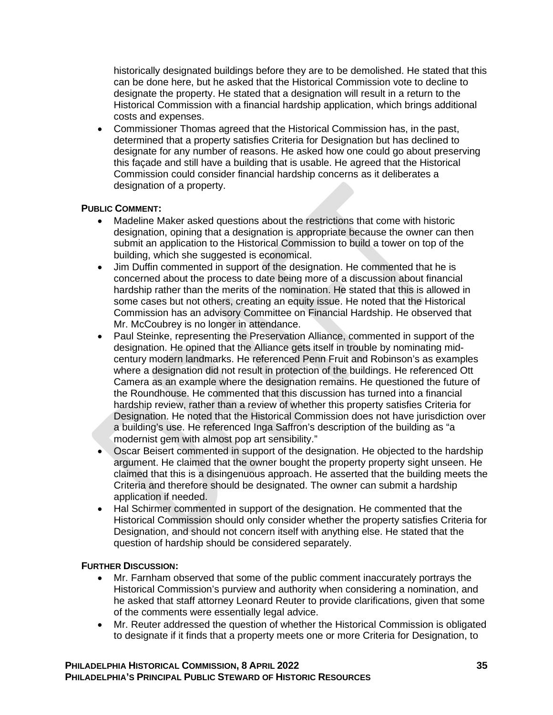historically designated buildings before they are to be demolished. He stated that this can be done here, but he asked that the Historical Commission vote to decline to designate the property. He stated that a designation will result in a return to the Historical Commission with a financial hardship application, which brings additional costs and expenses.

• Commissioner Thomas agreed that the Historical Commission has, in the past, determined that a property satisfies Criteria for Designation but has declined to designate for any number of reasons. He asked how one could go about preserving this façade and still have a building that is usable. He agreed that the Historical Commission could consider financial hardship concerns as it deliberates a designation of a property.

### **PUBLIC COMMENT:**

- Madeline Maker asked questions about the restrictions that come with historic designation, opining that a designation is appropriate because the owner can then submit an application to the Historical Commission to build a tower on top of the building, which she suggested is economical.
- Jim Duffin commented in support of the designation. He commented that he is concerned about the process to date being more of a discussion about financial hardship rather than the merits of the nomination. He stated that this is allowed in some cases but not others, creating an equity issue. He noted that the Historical Commission has an advisory Committee on Financial Hardship. He observed that Mr. McCoubrey is no longer in attendance.
- Paul Steinke, representing the Preservation Alliance, commented in support of the designation. He opined that the Alliance gets itself in trouble by nominating midcentury modern landmarks. He referenced Penn Fruit and Robinson's as examples where a designation did not result in protection of the buildings. He referenced Ott Camera as an example where the designation remains. He questioned the future of the Roundhouse. He commented that this discussion has turned into a financial hardship review, rather than a review of whether this property satisfies Criteria for Designation. He noted that the Historical Commission does not have jurisdiction over a building's use. He referenced Inga Saffron's description of the building as "a modernist gem with almost pop art sensibility."
- Oscar Beisert commented in support of the designation. He objected to the hardship argument. He claimed that the owner bought the property property sight unseen. He claimed that this is a disingenuous approach. He asserted that the building meets the Criteria and therefore should be designated. The owner can submit a hardship application if needed.
- Hal Schirmer commented in support of the designation. He commented that the Historical Commission should only consider whether the property satisfies Criteria for Designation, and should not concern itself with anything else. He stated that the question of hardship should be considered separately.

## **FURTHER DISCUSSION:**

- Mr. Farnham observed that some of the public comment inaccurately portrays the Historical Commission's purview and authority when considering a nomination, and he asked that staff attorney Leonard Reuter to provide clarifications, given that some of the comments were essentially legal advice.
- Mr. Reuter addressed the question of whether the Historical Commission is obligated to designate if it finds that a property meets one or more Criteria for Designation, to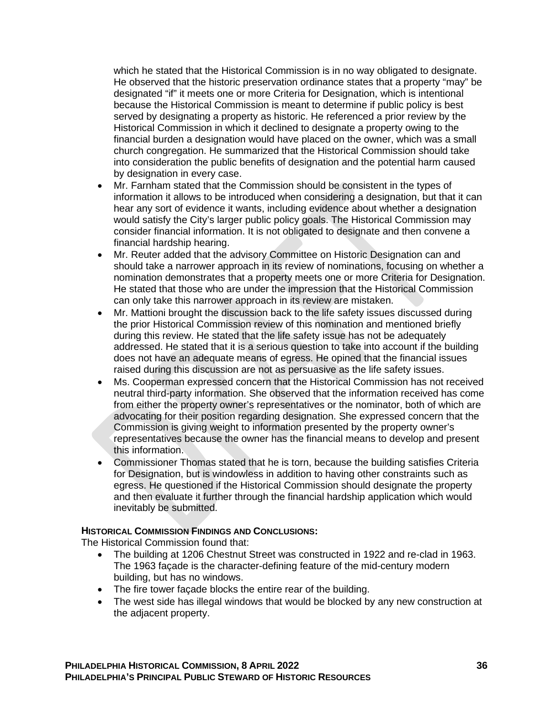which he stated that the Historical Commission is in no way obligated to designate. He observed that the historic preservation ordinance states that a property "may" be designated "if" it meets one or more Criteria for Designation, which is intentional because the Historical Commission is meant to determine if public policy is best served by designating a property as historic. He referenced a prior review by the Historical Commission in which it declined to designate a property owing to the financial burden a designation would have placed on the owner, which was a small church congregation. He summarized that the Historical Commission should take into consideration the public benefits of designation and the potential harm caused by designation in every case.

- Mr. Farnham stated that the Commission should be consistent in the types of information it allows to be introduced when considering a designation, but that it can hear any sort of evidence it wants, including evidence about whether a designation would satisfy the City's larger public policy goals. The Historical Commission may consider financial information. It is not obligated to designate and then convene a financial hardship hearing.
- Mr. Reuter added that the advisory Committee on Historic Designation can and should take a narrower approach in its review of nominations, focusing on whether a nomination demonstrates that a property meets one or more Criteria for Designation. He stated that those who are under the impression that the Historical Commission can only take this narrower approach in its review are mistaken.
- Mr. Mattioni brought the discussion back to the life safety issues discussed during the prior Historical Commission review of this nomination and mentioned briefly during this review. He stated that the life safety issue has not be adequately addressed. He stated that it is a serious question to take into account if the building does not have an adequate means of egress. He opined that the financial issues raised during this discussion are not as persuasive as the life safety issues.
- Ms. Cooperman expressed concern that the Historical Commission has not received neutral third-party information. She observed that the information received has come from either the property owner's representatives or the nominator, both of which are advocating for their position regarding designation. She expressed concern that the Commission is giving weight to information presented by the property owner's representatives because the owner has the financial means to develop and present this information.
- Commissioner Thomas stated that he is torn, because the building satisfies Criteria for Designation, but is windowless in addition to having other constraints such as egress. He questioned if the Historical Commission should designate the property and then evaluate it further through the financial hardship application which would inevitably be submitted.

## **HISTORICAL COMMISSION FINDINGS AND CONCLUSIONS:**

The Historical Commission found that:

- The building at 1206 Chestnut Street was constructed in 1922 and re-clad in 1963. The 1963 façade is the character-defining feature of the mid-century modern building, but has no windows.
- The fire tower façade blocks the entire rear of the building.
- The west side has illegal windows that would be blocked by any new construction at the adjacent property.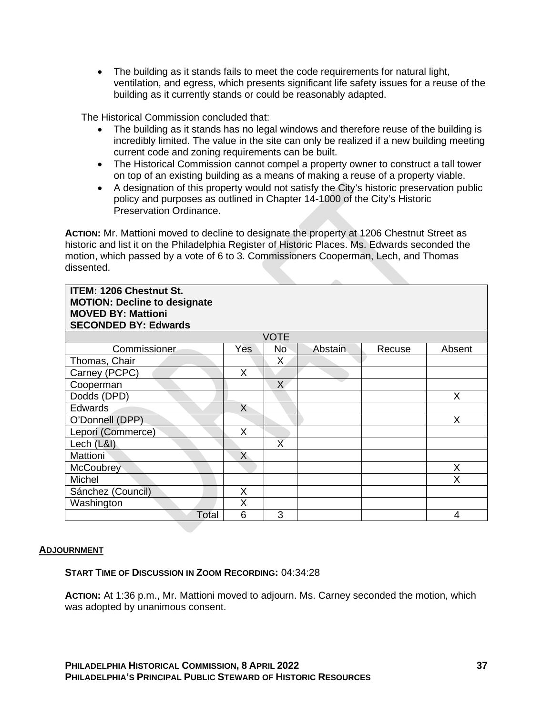• The building as it stands fails to meet the code requirements for natural light, ventilation, and egress, which presents significant life safety issues for a reuse of the building as it currently stands or could be reasonably adapted.

The Historical Commission concluded that:

- The building as it stands has no legal windows and therefore reuse of the building is incredibly limited. The value in the site can only be realized if a new building meeting current code and zoning requirements can be built.
- The Historical Commission cannot compel a property owner to construct a tall tower on top of an existing building as a means of making a reuse of a property viable.
- A designation of this property would not satisfy the City's historic preservation public policy and purposes as outlined in Chapter 14-1000 of the City's Historic Preservation Ordinance.

ACTION: Mr. Mattioni moved to decline to designate the property at 1206 Chestnut Street as historic and list it on the Philadelphia Register of Historic Places. Ms. Edwards seconded the motion, which passed by a vote of 6 to 3. Commissioners Cooperman, Lech, and Thomas dissented.

| <b>ITEM: 1206 Chestnut St.</b><br><b>MOTION: Decline to designate</b><br><b>MOVED BY: Mattioni</b><br><b>SECONDED BY: Edwards</b> |                |                         |         |        |        |
|-----------------------------------------------------------------------------------------------------------------------------------|----------------|-------------------------|---------|--------|--------|
|                                                                                                                                   |                | <b>VOTE</b>             |         |        |        |
| Commissioner                                                                                                                      | Yes            | No                      | Abstain | Recuse | Absent |
| Thomas, Chair                                                                                                                     |                | X                       |         |        |        |
| Carney (PCPC)                                                                                                                     | X              |                         |         |        |        |
| Cooperman                                                                                                                         |                | X                       |         |        |        |
| Dodds (DPD)                                                                                                                       |                |                         |         |        | X      |
| <b>Edwards</b>                                                                                                                    | X              |                         |         |        |        |
| O'Donnell (DPP)                                                                                                                   |                |                         |         |        | X      |
| Lepori (Commerce)                                                                                                                 | X              |                         |         |        |        |
| Lech (L&I)                                                                                                                        |                | $\overline{\mathsf{X}}$ |         |        |        |
| <b>Mattioni</b>                                                                                                                   | $\overline{X}$ |                         |         |        |        |
| McCoubrey                                                                                                                         |                |                         |         |        | X      |
| Michel                                                                                                                            |                |                         |         |        | Χ      |
| Sánchez (Council)                                                                                                                 | Χ              |                         |         |        |        |
| Washington                                                                                                                        | X              |                         |         |        |        |
| Total                                                                                                                             | 6              | 3                       |         |        | 4      |

### **ADJOURNMENT**

### **START TIME OF DISCUSSION IN ZOOM RECORDING:** 04:34:28

**ACTION:** At 1:36 p.m., Mr. Mattioni moved to adjourn. Ms. Carney seconded the motion, which was adopted by unanimous consent.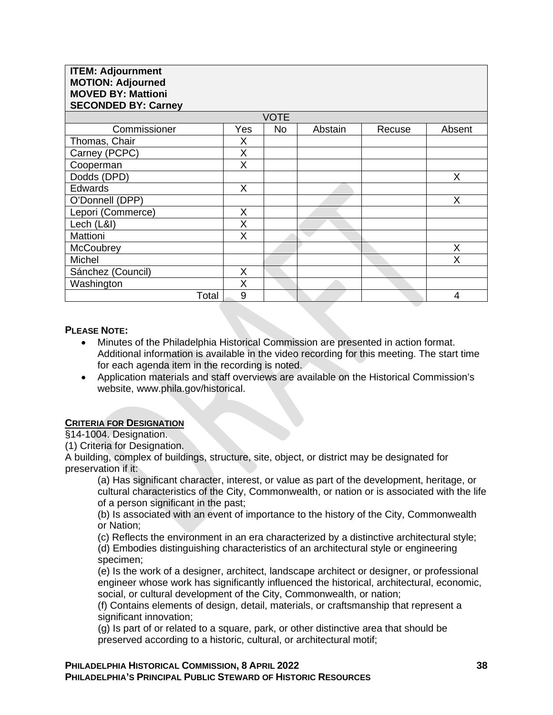| <b>ITEM: Adjournment</b><br><b>MOTION: Adjourned</b><br><b>MOVED BY: Mattioni</b><br><b>SECONDED BY: Carney</b> |     |             |         |        |        |  |
|-----------------------------------------------------------------------------------------------------------------|-----|-------------|---------|--------|--------|--|
|                                                                                                                 |     | <b>VOTE</b> |         |        |        |  |
| Commissioner                                                                                                    | Yes | <b>No</b>   | Abstain | Recuse | Absent |  |
| Thomas, Chair                                                                                                   | Χ   |             |         |        |        |  |
| Carney (PCPC)                                                                                                   | X   |             |         |        |        |  |
| Cooperman                                                                                                       | X   |             |         |        |        |  |
| Dodds (DPD)                                                                                                     |     |             |         |        | X      |  |
| <b>Edwards</b>                                                                                                  | X   |             |         |        |        |  |
| O'Donnell (DPP)                                                                                                 |     |             |         |        | X      |  |
| Lepori (Commerce)                                                                                               | X   |             |         |        |        |  |
| Lech (L&I)                                                                                                      | X   |             |         |        |        |  |
| Mattioni                                                                                                        | X   |             |         |        |        |  |
| McCoubrey                                                                                                       |     |             |         |        | X      |  |
| Michel                                                                                                          |     |             |         |        | X      |  |
| Sánchez (Council)                                                                                               | X   |             |         |        |        |  |
| Washington                                                                                                      | Χ   |             |         |        |        |  |
| Total                                                                                                           | 9   |             |         |        | 4      |  |

### **PLEASE NOTE:**

- Minutes of the Philadelphia Historical Commission are presented in action format. Additional information is available in the video recording for this meeting. The start time for each agenda item in the recording is noted.
- Application materials and staff overviews are available on the Historical Commission's website, www.phila.gov/historical.

### **CRITERIA FOR DESIGNATION**

§14-1004. Designation.

(1) Criteria for Designation.

A building, complex of buildings, structure, site, object, or district may be designated for preservation if it:

(a) Has significant character, interest, or value as part of the development, heritage, or cultural characteristics of the City, Commonwealth, or nation or is associated with the life of a person significant in the past;

(b) Is associated with an event of importance to the history of the City, Commonwealth or Nation;

(c) Reflects the environment in an era characterized by a distinctive architectural style;

(d) Embodies distinguishing characteristics of an architectural style or engineering specimen;

(e) Is the work of a designer, architect, landscape architect or designer, or professional engineer whose work has significantly influenced the historical, architectural, economic, social, or cultural development of the City, Commonwealth, or nation;

(f) Contains elements of design, detail, materials, or craftsmanship that represent a significant innovation:

(g) Is part of or related to a square, park, or other distinctive area that should be preserved according to a historic, cultural, or architectural motif;